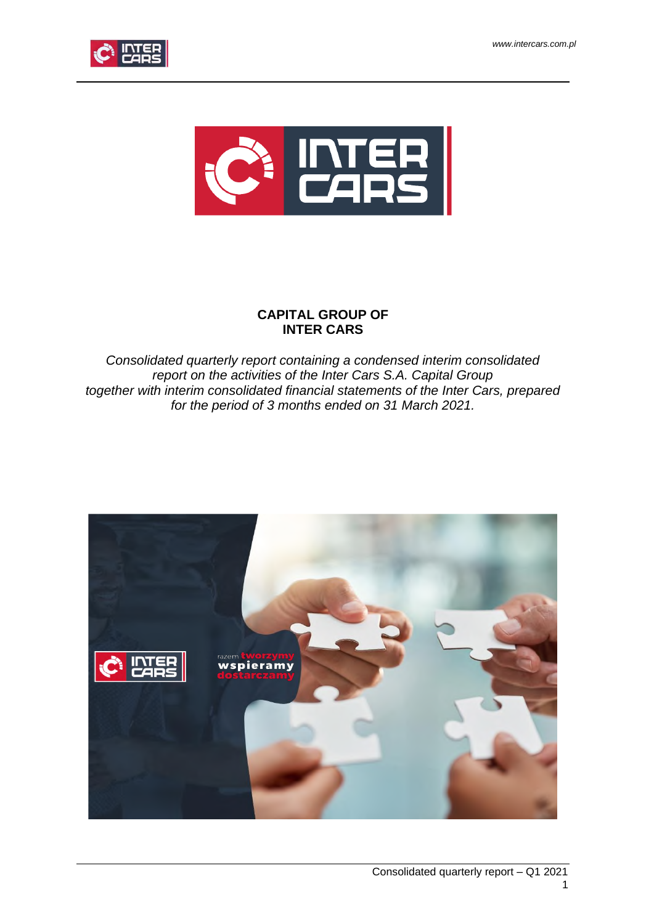



# **CAPITAL GROUP OF INTER CARS**

*Consolidated quarterly report containing a condensed interim consolidated report on the activities of the Inter Cars S.A. Capital Group together with interim consolidated financial statements of the Inter Cars, prepared for the period of 3 months ended on 31 March 2021.*

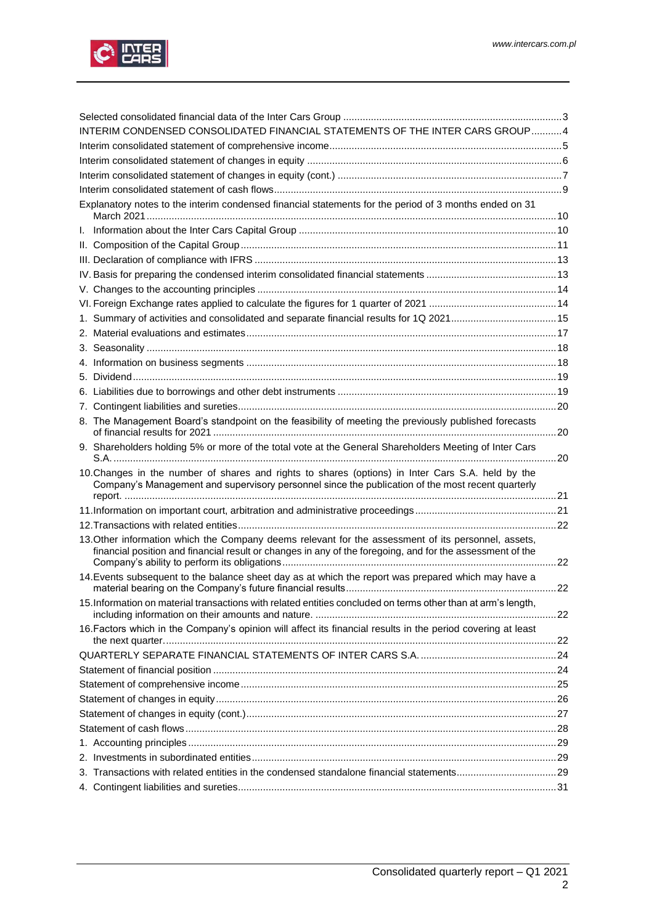

| INTERIM CONDENSED CONSOLIDATED FINANCIAL STATEMENTS OF THE INTER CARS GROUP4 |                                                                                                                                                                                                                  |  |  |  |  |
|------------------------------------------------------------------------------|------------------------------------------------------------------------------------------------------------------------------------------------------------------------------------------------------------------|--|--|--|--|
|                                                                              |                                                                                                                                                                                                                  |  |  |  |  |
|                                                                              |                                                                                                                                                                                                                  |  |  |  |  |
|                                                                              |                                                                                                                                                                                                                  |  |  |  |  |
|                                                                              |                                                                                                                                                                                                                  |  |  |  |  |
|                                                                              | Explanatory notes to the interim condensed financial statements for the period of 3 months ended on 31                                                                                                           |  |  |  |  |
|                                                                              |                                                                                                                                                                                                                  |  |  |  |  |
|                                                                              |                                                                                                                                                                                                                  |  |  |  |  |
|                                                                              |                                                                                                                                                                                                                  |  |  |  |  |
|                                                                              |                                                                                                                                                                                                                  |  |  |  |  |
|                                                                              |                                                                                                                                                                                                                  |  |  |  |  |
|                                                                              |                                                                                                                                                                                                                  |  |  |  |  |
|                                                                              | 1. Summary of activities and consolidated and separate financial results for 1Q 202115                                                                                                                           |  |  |  |  |
|                                                                              |                                                                                                                                                                                                                  |  |  |  |  |
|                                                                              |                                                                                                                                                                                                                  |  |  |  |  |
|                                                                              |                                                                                                                                                                                                                  |  |  |  |  |
|                                                                              |                                                                                                                                                                                                                  |  |  |  |  |
|                                                                              |                                                                                                                                                                                                                  |  |  |  |  |
|                                                                              |                                                                                                                                                                                                                  |  |  |  |  |
|                                                                              | 8. The Management Board's standpoint on the feasibility of meeting the previously published forecasts                                                                                                            |  |  |  |  |
|                                                                              | 9. Shareholders holding 5% or more of the total vote at the General Shareholders Meeting of Inter Cars                                                                                                           |  |  |  |  |
|                                                                              | 10. Changes in the number of shares and rights to shares (options) in Inter Cars S.A. held by the<br>Company's Management and supervisory personnel since the publication of the most recent quarterly           |  |  |  |  |
|                                                                              |                                                                                                                                                                                                                  |  |  |  |  |
|                                                                              |                                                                                                                                                                                                                  |  |  |  |  |
|                                                                              |                                                                                                                                                                                                                  |  |  |  |  |
|                                                                              | 13. Other information which the Company deems relevant for the assessment of its personnel, assets,<br>financial position and financial result or changes in any of the foregoing, and for the assessment of the |  |  |  |  |
|                                                                              | 14. Events subsequent to the balance sheet day as at which the report was prepared which may have a                                                                                                              |  |  |  |  |
|                                                                              |                                                                                                                                                                                                                  |  |  |  |  |
|                                                                              | 15. Information on material transactions with related entities concluded on terms other than at arm's length,                                                                                                    |  |  |  |  |
|                                                                              | 16. Factors which in the Company's opinion will affect its financial results in the period covering at least                                                                                                     |  |  |  |  |
|                                                                              |                                                                                                                                                                                                                  |  |  |  |  |
|                                                                              |                                                                                                                                                                                                                  |  |  |  |  |
|                                                                              |                                                                                                                                                                                                                  |  |  |  |  |
|                                                                              |                                                                                                                                                                                                                  |  |  |  |  |
|                                                                              |                                                                                                                                                                                                                  |  |  |  |  |
|                                                                              |                                                                                                                                                                                                                  |  |  |  |  |
|                                                                              |                                                                                                                                                                                                                  |  |  |  |  |
|                                                                              |                                                                                                                                                                                                                  |  |  |  |  |
|                                                                              |                                                                                                                                                                                                                  |  |  |  |  |
|                                                                              |                                                                                                                                                                                                                  |  |  |  |  |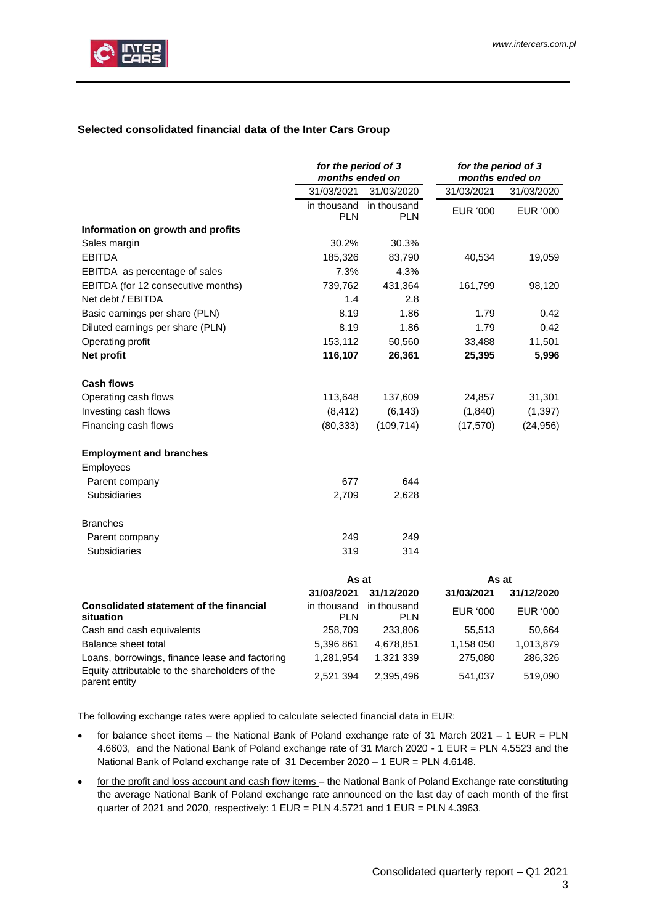

# <span id="page-2-0"></span>**Selected consolidated financial data of the Inter Cars Group**

|                                                                 | for the period of 3<br>months ended on |                           | for the period of 3<br>months ended on |                 |
|-----------------------------------------------------------------|----------------------------------------|---------------------------|----------------------------------------|-----------------|
|                                                                 | 31/03/2021                             | 31/03/2020                | 31/03/2021                             | 31/03/2020      |
|                                                                 | in thousand<br><b>PLN</b>              | in thousand<br><b>PLN</b> | EUR '000                               | EUR '000        |
| Information on growth and profits                               |                                        |                           |                                        |                 |
| Sales margin                                                    | 30.2%                                  | 30.3%                     |                                        |                 |
| <b>EBITDA</b>                                                   | 185,326                                | 83,790                    | 40,534                                 | 19,059          |
| EBITDA as percentage of sales                                   | 7.3%                                   | 4.3%                      |                                        |                 |
| EBITDA (for 12 consecutive months)                              | 739,762                                | 431,364                   | 161,799                                | 98,120          |
| Net debt / EBITDA                                               | 1.4                                    | 2.8                       |                                        |                 |
| Basic earnings per share (PLN)                                  | 8.19                                   | 1.86                      | 1.79                                   | 0.42            |
| Diluted earnings per share (PLN)                                | 8.19                                   | 1.86                      | 1.79                                   | 0.42            |
| Operating profit                                                | 153,112                                | 50,560                    | 33,488                                 | 11,501          |
| Net profit                                                      | 116,107                                | 26,361                    | 25,395                                 | 5,996           |
| <b>Cash flows</b>                                               |                                        |                           |                                        |                 |
| Operating cash flows                                            | 113,648                                | 137,609                   | 24,857                                 | 31,301          |
| Investing cash flows                                            | (8, 412)                               | (6, 143)                  | (1, 840)                               | (1, 397)        |
| Financing cash flows                                            | (80, 333)                              | (109, 714)                | (17, 570)                              | (24, 956)       |
| <b>Employment and branches</b>                                  |                                        |                           |                                        |                 |
| Employees                                                       |                                        |                           |                                        |                 |
| Parent company                                                  | 677                                    | 644                       |                                        |                 |
| Subsidiaries                                                    | 2,709                                  | 2,628                     |                                        |                 |
| <b>Branches</b>                                                 |                                        |                           |                                        |                 |
| Parent company                                                  | 249                                    | 249                       |                                        |                 |
| Subsidiaries                                                    | 319                                    | 314                       |                                        |                 |
|                                                                 | As at                                  |                           | As at                                  |                 |
|                                                                 | 31/03/2021                             | 31/12/2020                | 31/03/2021                             | 31/12/2020      |
| Consolidated statement of the financial<br>situation            | in thousand<br><b>PLN</b>              | in thousand<br><b>PLN</b> | <b>EUR '000</b>                        | <b>EUR '000</b> |
| Cash and cash equivalents                                       | 258,709                                | 233,806                   | 55,513                                 | 50,664          |
| Balance sheet total                                             | 5,396 861                              | 4,678,851                 | 1,158 050                              | 1,013,879       |
| Loans, borrowings, finance lease and factoring                  | 1,281,954                              | 1,321 339                 | 275,080                                | 286,326         |
| Equity attributable to the shareholders of the<br>parent entity | 2,521 394                              | 2,395,496                 | 541,037                                | 519,090         |

The following exchange rates were applied to calculate selected financial data in EUR:

- for balance sheet items the National Bank of Poland exchange rate of 31 March 2021 1 EUR = PLN 4.6603, and the National Bank of Poland exchange rate of 31 March 2020 - 1 EUR = PLN 4.5523 and the National Bank of Poland exchange rate of 31 December 2020 – 1 EUR = PLN 4.6148.
- for the profit and loss account and cash flow items the National Bank of Poland Exchange rate constituting the average National Bank of Poland exchange rate announced on the last day of each month of the first quarter of 2021 and 2020, respectively: 1 EUR = PLN 4.5721 and 1 EUR = PLN 4.3963.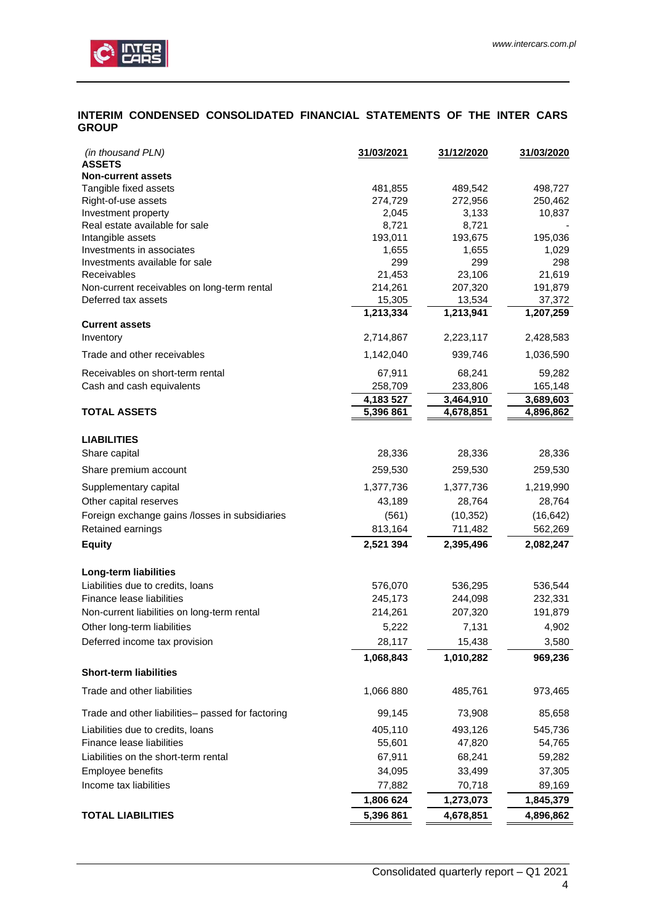

# <span id="page-3-0"></span>**INTERIM CONDENSED CONSOLIDATED FINANCIAL STATEMENTS OF THE INTER CARS GROUP**

| (in thousand PLN)<br><b>ASSETS</b>                | 31/03/2021    | <u>31/12/2020</u> | 31/03/2020    |
|---------------------------------------------------|---------------|-------------------|---------------|
| <b>Non-current assets</b>                         |               |                   |               |
| Tangible fixed assets                             | 481,855       | 489,542           | 498,727       |
| Right-of-use assets                               | 274,729       | 272,956           | 250,462       |
| Investment property                               | 2,045         | 3,133             | 10,837        |
| Real estate available for sale                    | 8,721         | 8,721             |               |
| Intangible assets                                 | 193,011       | 193,675           | 195,036       |
| Investments in associates                         | 1,655         | 1,655             | 1,029         |
| Investments available for sale<br>Receivables     | 299<br>21,453 | 299<br>23,106     | 298<br>21,619 |
| Non-current receivables on long-term rental       | 214,261       | 207,320           | 191,879       |
| Deferred tax assets                               | 15,305        | 13,534            | 37,372        |
|                                                   | 1,213,334     | 1,213,941         | 1,207,259     |
| <b>Current assets</b>                             |               |                   |               |
| Inventory                                         | 2,714,867     | 2,223,117         | 2,428,583     |
| Trade and other receivables                       | 1,142,040     | 939,746           | 1,036,590     |
| Receivables on short-term rental                  | 67,911        | 68,241            | 59,282        |
| Cash and cash equivalents                         | 258,709       | 233,806           | 165,148       |
|                                                   | 4,183 527     | 3,464,910         | 3,689,603     |
| <b>TOTAL ASSETS</b>                               | 5,396 861     | 4,678,851         | 4,896,862     |
|                                                   |               |                   |               |
| <b>LIABILITIES</b>                                |               |                   |               |
| Share capital                                     | 28,336        | 28,336            | 28,336        |
| Share premium account                             | 259,530       | 259,530           | 259,530       |
| Supplementary capital                             | 1,377,736     | 1,377,736         | 1,219,990     |
| Other capital reserves                            | 43,189        | 28,764            | 28,764        |
| Foreign exchange gains /losses in subsidiaries    | (561)         | (10, 352)         | (16, 642)     |
| Retained earnings                                 | 813,164       | 711,482           | 562,269       |
| <b>Equity</b>                                     | 2,521 394     | 2,395,496         | 2,082,247     |
| Long-term liabilities                             |               |                   |               |
| Liabilities due to credits, loans                 | 576,070       | 536,295           | 536,544       |
| Finance lease liabilities                         | 245,173       | 244,098           | 232,331       |
| Non-current liabilities on long-term rental       | 214,261       | 207,320           | 191,879       |
| Other long-term liabilities                       | 5,222         | 7,131             | 4,902         |
| Deferred income tax provision                     | 28,117        | 15,438            | 3,580         |
|                                                   | 1,068,843     | 1,010,282         | 969,236       |
| <b>Short-term liabilities</b>                     |               |                   |               |
| Trade and other liabilities                       | 1,066 880     | 485,761           | 973,465       |
| Trade and other liabilities- passed for factoring | 99,145        | 73,908            | 85,658        |
| Liabilities due to credits, loans                 | 405,110       | 493,126           | 545,736       |
| Finance lease liabilities                         | 55,601        | 47,820            | 54,765        |
| Liabilities on the short-term rental              | 67,911        | 68,241            | 59,282        |
| Employee benefits                                 | 34,095        | 33,499            | 37,305        |
| Income tax liabilities                            | 77,882        | 70,718            | 89,169        |
|                                                   | 1,806 624     | 1,273,073         | 1,845,379     |
| <b>TOTAL LIABILITIES</b>                          | 5,396 861     | 4,678,851         | 4,896,862     |
|                                                   |               |                   |               |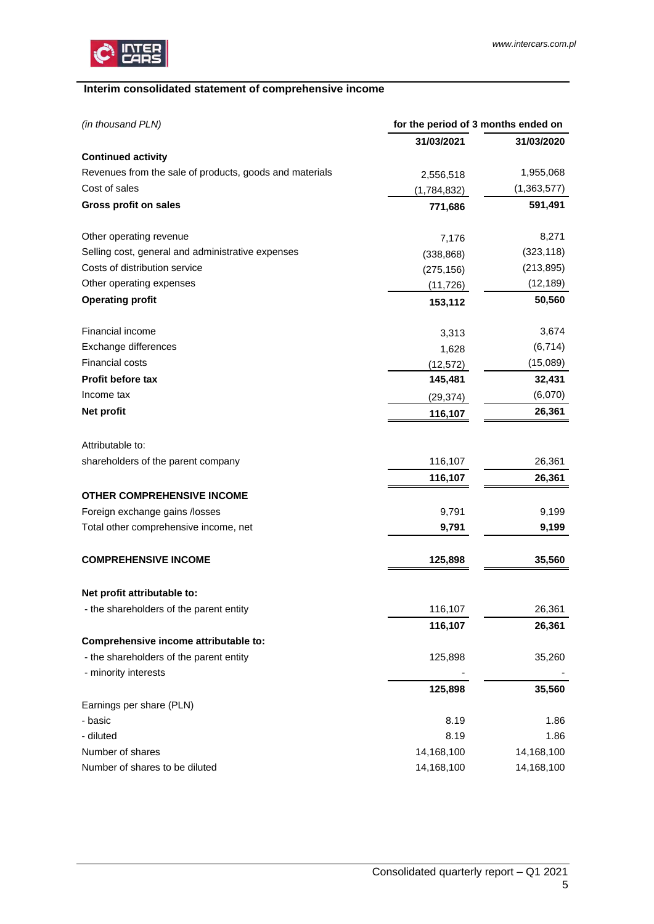

# <span id="page-4-0"></span>**Interim consolidated statement of comprehensive income**

| (in thousand PLN)<br>for the period of 3 months ended on |             |             |
|----------------------------------------------------------|-------------|-------------|
|                                                          | 31/03/2021  | 31/03/2020  |
| <b>Continued activity</b>                                |             |             |
| Revenues from the sale of products, goods and materials  | 2,556,518   | 1,955,068   |
| Cost of sales                                            | (1,784,832) | (1,363,577) |
| Gross profit on sales                                    | 771,686     | 591,491     |
| Other operating revenue                                  | 7,176       | 8,271       |
| Selling cost, general and administrative expenses        | (338, 868)  | (323, 118)  |
| Costs of distribution service                            | (275, 156)  | (213, 895)  |
| Other operating expenses                                 | (11, 726)   | (12, 189)   |
| <b>Operating profit</b>                                  | 153,112     | 50,560      |
| Financial income                                         | 3,313       | 3,674       |
| Exchange differences                                     | 1,628       | (6, 714)    |
| Financial costs                                          | (12, 572)   | (15,089)    |
| Profit before tax                                        | 145,481     | 32,431      |
| Income tax                                               | (29, 374)   | (6,070)     |
| Net profit                                               | 116,107     | 26,361      |
| Attributable to:                                         |             |             |
| shareholders of the parent company                       | 116,107     | 26,361      |
|                                                          | 116,107     | 26,361      |
| <b>OTHER COMPREHENSIVE INCOME</b>                        |             |             |
| Foreign exchange gains /losses                           | 9,791       | 9,199       |
| Total other comprehensive income, net                    | 9,791       | 9,199       |
| <b>COMPREHENSIVE INCOME</b>                              | 125,898     | 35,560      |
| Net profit attributable to:                              |             |             |
| - the shareholders of the parent entity                  | 116,107     | 26,361      |
|                                                          | 116,107     | 26,361      |
| Comprehensive income attributable to:                    |             |             |
| - the shareholders of the parent entity                  | 125,898     | 35,260      |
| - minority interests                                     |             |             |
|                                                          | 125,898     | 35,560      |
| Earnings per share (PLN)                                 |             |             |
| - basic                                                  | 8.19        | 1.86        |
| - diluted                                                | 8.19        | 1.86        |
| Number of shares                                         | 14,168,100  | 14,168,100  |
| Number of shares to be diluted                           | 14,168,100  | 14,168,100  |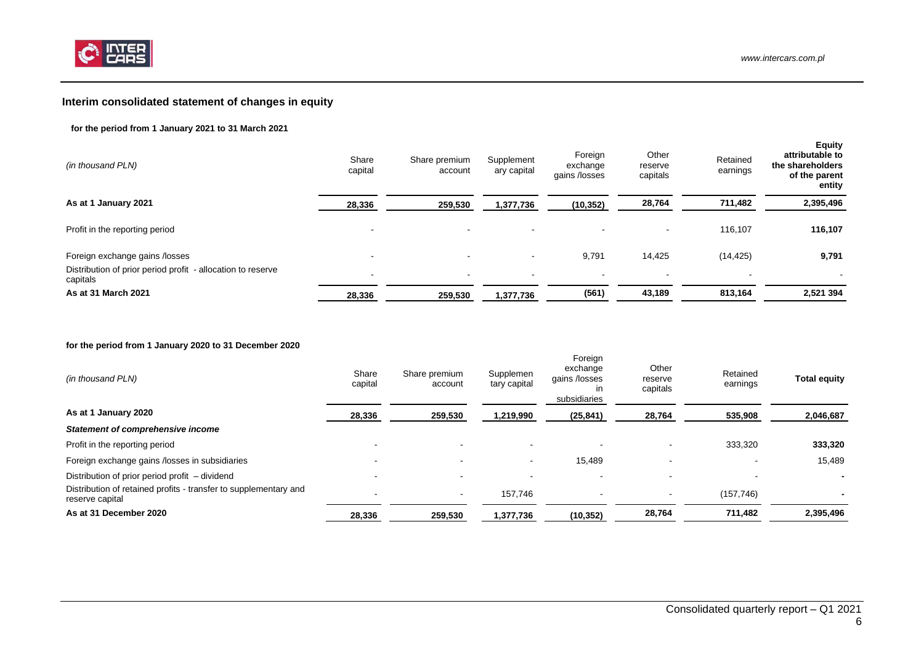

# **Interim consolidated statement of changes in equity**

### **for the period from 1 January 2021 to 31 March 2021**

| (in thousand PLN)                                                       | Share<br>capital | Share premium<br>account | Supplement<br>ary capital | Foreign<br>exchange<br>gains /losses | Other<br>reserve<br>capitals | Retained<br>earnings | <b>Equity</b><br>attributable to<br>the shareholders<br>of the parent<br>entity |
|-------------------------------------------------------------------------|------------------|--------------------------|---------------------------|--------------------------------------|------------------------------|----------------------|---------------------------------------------------------------------------------|
| As at 1 January 2021                                                    | 28,336           | 259,530                  | 1,377,736                 | (10, 352)                            | 28,764                       | 711,482              | 2,395,496                                                                       |
| Profit in the reporting period                                          |                  | $\overline{\phantom{a}}$ |                           |                                      | $\blacksquare$               | 116,107              | 116,107                                                                         |
| Foreign exchange gains /losses                                          | -                |                          |                           | 9,791                                | 14,425                       | (14, 425)            | 9,791                                                                           |
| Distribution of prior period profit - allocation to reserve<br>capitals | $\,$             | $\sim$                   | $\overline{\phantom{a}}$  | $\sim$                               | $\sim$                       | $\sim$               | $\sim$                                                                          |
| As at 31 March 2021                                                     | 28,336           | 259,530                  | 1,377,736                 | (561)                                | 43,189                       | 813,164              | 2,521 394                                                                       |

#### **for the period from 1 January 2020 to 31 December 2020**

<span id="page-5-0"></span>

| (in thousand PLN)                                                                   | Share<br>capital         | Share premium<br>account | Supplemen<br>tary capital | Foreign<br>exchange<br>gains /losses<br>in<br>subsidiaries | Other<br>reserve<br>capitals | Retained<br>earnings | <b>Total equity</b> |
|-------------------------------------------------------------------------------------|--------------------------|--------------------------|---------------------------|------------------------------------------------------------|------------------------------|----------------------|---------------------|
| As at 1 January 2020                                                                | 28,336                   | 259,530                  | 1,219,990                 | (25, 841)                                                  | 28,764                       | 535,908              | 2,046,687           |
| Statement of comprehensive income                                                   |                          |                          |                           |                                                            |                              |                      |                     |
| Profit in the reporting period                                                      |                          |                          |                           |                                                            |                              | 333,320              | 333,320             |
| Foreign exchange gains /losses in subsidiaries                                      | $\overline{\phantom{0}}$ | $\overline{\phantom{0}}$ | $\overline{\phantom{0}}$  | 15,489                                                     | $\sim$                       |                      | 15,489              |
| Distribution of prior period profit – dividend                                      | $\overline{\phantom{0}}$ |                          |                           |                                                            |                              |                      |                     |
| Distribution of retained profits - transfer to supplementary and<br>reserve capital |                          | $\sim$                   | 157.746                   |                                                            |                              | (157, 746)           |                     |
| As at 31 December 2020                                                              | 28,336                   | 259,530                  | 1,377,736                 | (10, 352)                                                  | 28,764                       | 711.482              | 2,395,496           |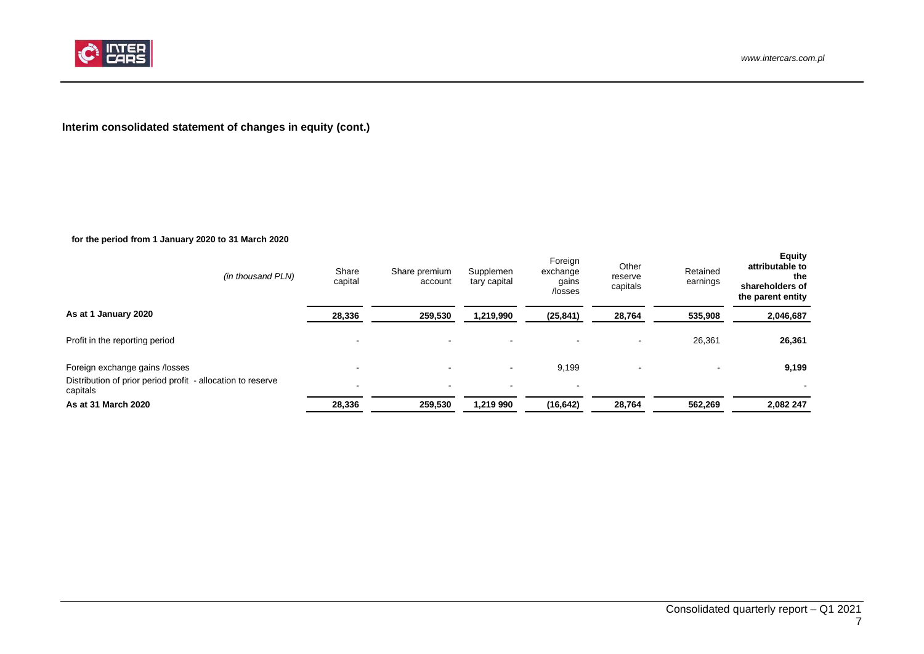

# **Interim consolidated statement of changes in equity (cont.)**

### **for the period from 1 January 2020 to 31 March 2020**

<span id="page-6-0"></span>

| (in thousand PLN)                                                       | Share<br>capital         | Share premium<br>account | Supplemen<br>tary capital | Foreign<br>exchange<br>gains<br>/losses | Other<br>reserve<br>capitals | Retained<br>earnings | <b>Equity</b><br>attributable to<br>the<br>shareholders of<br>the parent entity |
|-------------------------------------------------------------------------|--------------------------|--------------------------|---------------------------|-----------------------------------------|------------------------------|----------------------|---------------------------------------------------------------------------------|
| As at 1 January 2020                                                    | 28,336                   | 259,530                  | 1,219,990                 | (25, 841)                               | 28,764                       | 535,908              | 2,046,687                                                                       |
| Profit in the reporting period                                          |                          | $\,$ $\,$                |                           | $\blacksquare$                          | $\,$ $\,$                    | 26,361               | 26,361                                                                          |
| Foreign exchange gains /losses                                          |                          | $\overline{\phantom{a}}$ | $\overline{\phantom{a}}$  | 9,199                                   |                              |                      | 9,199                                                                           |
| Distribution of prior period profit - allocation to reserve<br>capitals | $\overline{\phantom{a}}$ | $\,$ $\,$                | $\overline{\phantom{a}}$  | $\,$ $\,$                               |                              |                      |                                                                                 |
| As at 31 March 2020                                                     | 28,336                   | 259,530                  | 1,219 990                 | (16, 642)                               | 28,764                       | 562,269              | 2,082 247                                                                       |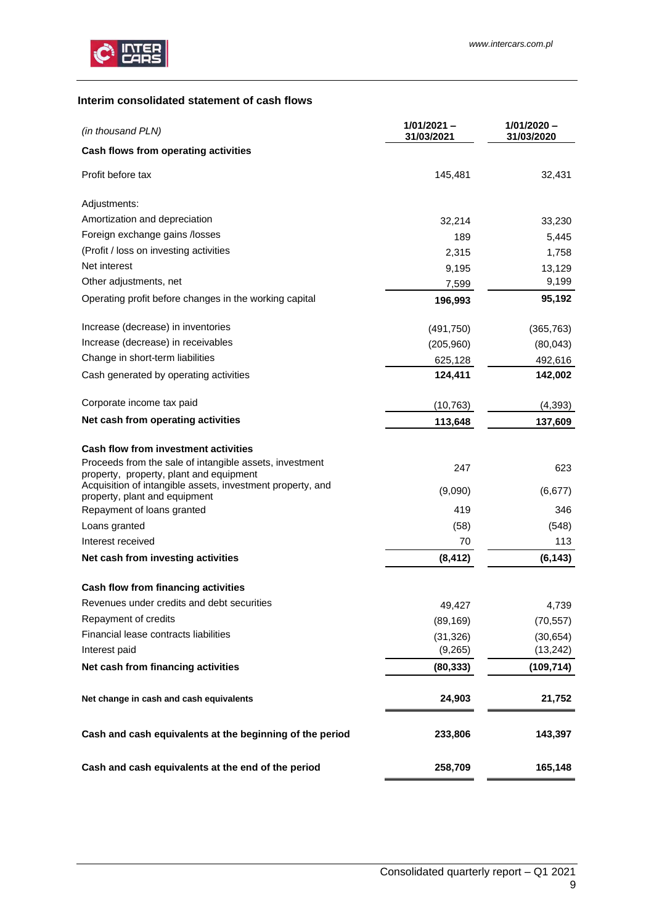

# <span id="page-8-0"></span>**Interim consolidated statement of cash flows**

| (in thousand PLN)                                                                                  | $1/01/2021 -$<br>31/03/2021 | $1/01/2020 -$<br>31/03/2020 |
|----------------------------------------------------------------------------------------------------|-----------------------------|-----------------------------|
| Cash flows from operating activities                                                               |                             |                             |
| Profit before tax                                                                                  | 145,481                     | 32,431                      |
| Adjustments:                                                                                       |                             |                             |
| Amortization and depreciation                                                                      | 32,214                      | 33,230                      |
| Foreign exchange gains /losses                                                                     | 189                         | 5,445                       |
| (Profit / loss on investing activities                                                             | 2,315                       | 1,758                       |
| Net interest                                                                                       | 9,195                       | 13,129                      |
| Other adjustments, net                                                                             | 7,599                       | 9,199                       |
| Operating profit before changes in the working capital                                             | 196,993                     | 95,192                      |
| Increase (decrease) in inventories                                                                 | (491, 750)                  | (365, 763)                  |
| Increase (decrease) in receivables                                                                 | (205, 960)                  | (80,043)                    |
| Change in short-term liabilities                                                                   | 625,128                     | 492,616                     |
| Cash generated by operating activities                                                             | 124,411                     | 142,002                     |
| Corporate income tax paid                                                                          | (10, 763)                   | (4, 393)                    |
| Net cash from operating activities                                                                 | 113,648                     | 137,609                     |
| <b>Cash flow from investment activities</b>                                                        |                             |                             |
| Proceeds from the sale of intangible assets, investment<br>property, property, plant and equipment | 247                         | 623                         |
| Acquisition of intangible assets, investment property, and<br>property, plant and equipment        | (9,090)                     | (6, 677)                    |
| Repayment of loans granted                                                                         | 419                         | 346                         |
| Loans granted                                                                                      | (58)                        | (548)                       |
| Interest received                                                                                  | 70                          | 113                         |
| Net cash from investing activities                                                                 | (8, 412)                    | (6, 143)                    |
| Cash flow from financing activities                                                                |                             |                             |
| Revenues under credits and debt securities                                                         | 49,427                      | 4,739                       |
| Repayment of credits                                                                               | (89, 169)                   | (70, 557)                   |
| Financial lease contracts liabilities                                                              | (31, 326)                   | (30, 654)                   |
| Interest paid                                                                                      | (9,265)                     | (13, 242)                   |
| Net cash from financing activities                                                                 | (80, 333)                   | (109,714)                   |
| Net change in cash and cash equivalents                                                            | 24,903                      | 21,752                      |
| Cash and cash equivalents at the beginning of the period                                           | 233,806                     | 143,397                     |
| Cash and cash equivalents at the end of the period                                                 | 258,709                     | 165,148                     |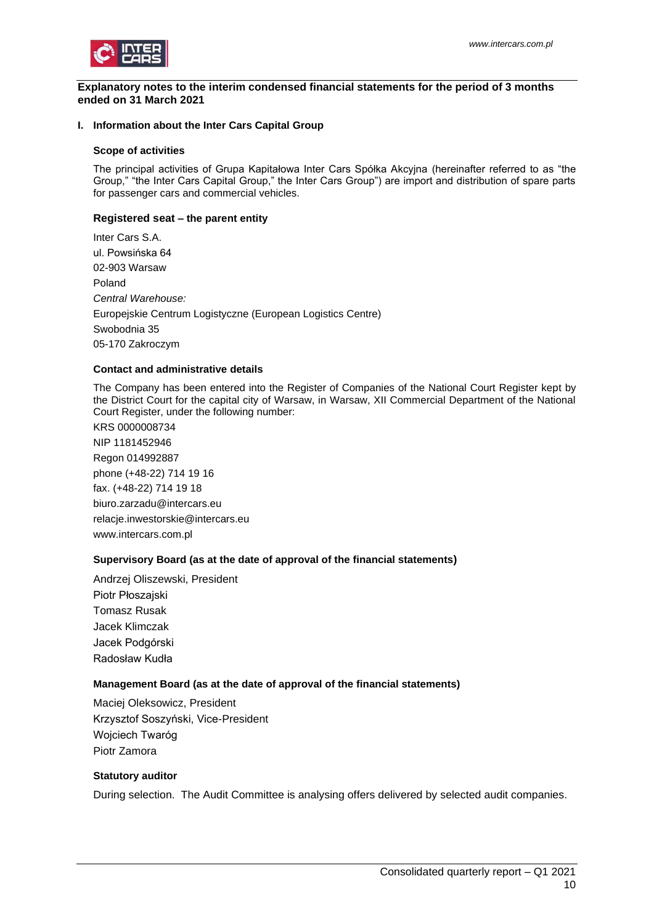

#### <span id="page-9-0"></span>**Explanatory notes to the interim condensed financial statements for the period of 3 months ended on 31 March 2021**

## <span id="page-9-1"></span>**I. Information about the Inter Cars Capital Group**

#### **Scope of activities**

The principal activities of Grupa Kapitałowa Inter Cars Spółka Akcyjna (hereinafter referred to as "the Group," "the Inter Cars Capital Group," the Inter Cars Group") are import and distribution of spare parts for passenger cars and commercial vehicles.

# **Registered seat – the parent entity**

Inter Cars S.A. ul. Powsińska 64 02-903 Warsaw Poland *Central Warehouse:* Europejskie Centrum Logistyczne (European Logistics Centre) Swobodnia 35 05-170 Zakroczym

## **Contact and administrative details**

The Company has been entered into the Register of Companies of the National Court Register kept by the District Court for the capital city of Warsaw, in Warsaw, XII Commercial Department of the National Court Register, under the following number:

KRS 0000008734 NIP 1181452946 Regon 014992887 phone (+48-22) 714 19 16 fax. (+48-22) 714 19 18 biuro.zarzadu@intercars.eu relacje.inwestorskie@intercars.eu www.intercars.com.pl

## **Supervisory Board (as at the date of approval of the financial statements)**

Andrzej Oliszewski, President Piotr Płoszajski Tomasz Rusak Jacek Klimczak Jacek Podgórski Radosław Kudła

## **Management Board (as at the date of approval of the financial statements)**

Maciej Oleksowicz, President Krzysztof Soszyński, Vice-President Wojciech Twaróg Piotr Zamora

# **Statutory auditor**

During selection. The Audit Committee is analysing offers delivered by selected audit companies.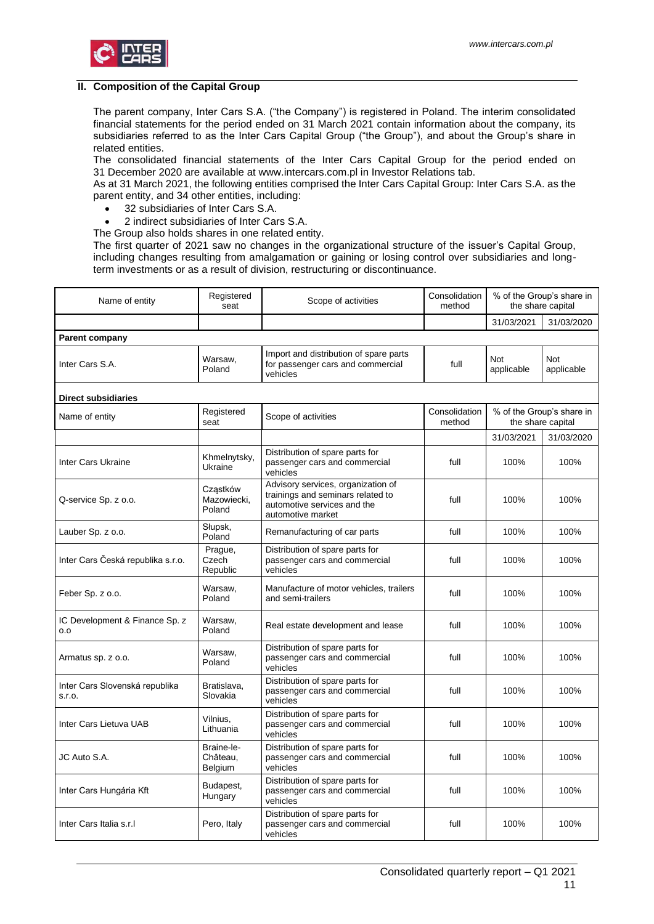

#### <span id="page-10-0"></span>**II. Composition of the Capital Group**

The parent company, Inter Cars S.A. ("the Company") is registered in Poland. The interim consolidated financial statements for the period ended on 31 March 2021 contain information about the company, its subsidiaries referred to as the Inter Cars Capital Group ("the Group"), and about the Group's share in related entities.

The consolidated financial statements of the Inter Cars Capital Group for the period ended on 31 December 2020 are available at www.intercars.com.pl in Investor Relations tab.

As at 31 March 2021, the following entities comprised the Inter Cars Capital Group: Inter Cars S.A. as the parent entity, and 34 other entities, including:

- 32 subsidiaries of Inter Cars S.A.
- 2 indirect subsidiaries of Inter Cars S.A.
- The Group also holds shares in one related entity.

The first quarter of 2021 saw no changes in the organizational structure of the issuer's Capital Group, including changes resulting from amalgamation or gaining or losing control over subsidiaries and longterm investments or as a result of division, restructuring or discontinuance.

| Name of entity                           | Registered<br>seat                | Scope of activities                                                                                                         | Consolidation<br>method |                   | % of the Group's share in<br>the share capital |
|------------------------------------------|-----------------------------------|-----------------------------------------------------------------------------------------------------------------------------|-------------------------|-------------------|------------------------------------------------|
|                                          |                                   |                                                                                                                             |                         | 31/03/2021        | 31/03/2020                                     |
| <b>Parent company</b>                    |                                   |                                                                                                                             |                         |                   |                                                |
| Inter Cars S.A.                          | Warsaw,<br>Poland                 | Import and distribution of spare parts<br>for passenger cars and commercial<br>vehicles                                     | full                    | Not<br>applicable | <b>Not</b><br>applicable                       |
| <b>Direct subsidiaries</b>               |                                   |                                                                                                                             |                         |                   |                                                |
| Name of entity                           | Registered<br>seat                | Scope of activities                                                                                                         | Consolidation<br>method |                   | % of the Group's share in<br>the share capital |
|                                          |                                   |                                                                                                                             |                         | 31/03/2021        | 31/03/2020                                     |
| Inter Cars Ukraine                       | Khmelnytsky,<br>Ukraine           | Distribution of spare parts for<br>passenger cars and commercial<br>vehicles                                                | full                    | 100%              | 100%                                           |
| Q-service Sp. z o.o.                     | Cząstków<br>Mazowiecki,<br>Poland | Advisory services, organization of<br>trainings and seminars related to<br>automotive services and the<br>automotive market | full                    | 100%              | 100%                                           |
| Lauber Sp. z o.o.                        | Słupsk,<br>Poland                 | Remanufacturing of car parts                                                                                                | full                    | 100%              | 100%                                           |
| Inter Cars Česká republika s.r.o.        | Prague,<br>Czech<br>Republic      | Distribution of spare parts for<br>passenger cars and commercial<br>vehicles                                                | full                    | 100%              | 100%                                           |
| Feber Sp. z o.o.                         | Warsaw,<br>Poland                 | Manufacture of motor vehicles, trailers<br>and semi-trailers                                                                | full                    | 100%              | 100%                                           |
| IC Development & Finance Sp. z<br>0.0    | Warsaw,<br>Poland                 | Real estate development and lease                                                                                           | full                    | 100%              | 100%                                           |
| Armatus sp. z o.o.                       | Warsaw,<br>Poland                 | Distribution of spare parts for<br>passenger cars and commercial<br>vehicles                                                | full                    | 100%              | 100%                                           |
| Inter Cars Slovenská republika<br>S.I.O. | Bratislava,<br>Slovakia           | Distribution of spare parts for<br>passenger cars and commercial<br>vehicles                                                | full                    | 100%              | 100%                                           |
| Inter Cars Lietuva UAB                   | Vilnius,<br>Lithuania             | Distribution of spare parts for<br>passenger cars and commercial<br>vehicles                                                | full                    | 100%              | 100%                                           |
| JC Auto S.A.                             | Braine-le-<br>Château,<br>Belgium | Distribution of spare parts for<br>passenger cars and commercial<br>vehicles                                                | full                    | 100%              | 100%                                           |
| Inter Cars Hungária Kft                  | Budapest,<br>Hungary              | Distribution of spare parts for<br>passenger cars and commercial<br>vehicles                                                | full                    | 100%              | 100%                                           |
| Inter Cars Italia s.r.I                  | Pero, Italy                       | Distribution of spare parts for<br>passenger cars and commercial<br>vehicles                                                | full                    | 100%              | 100%                                           |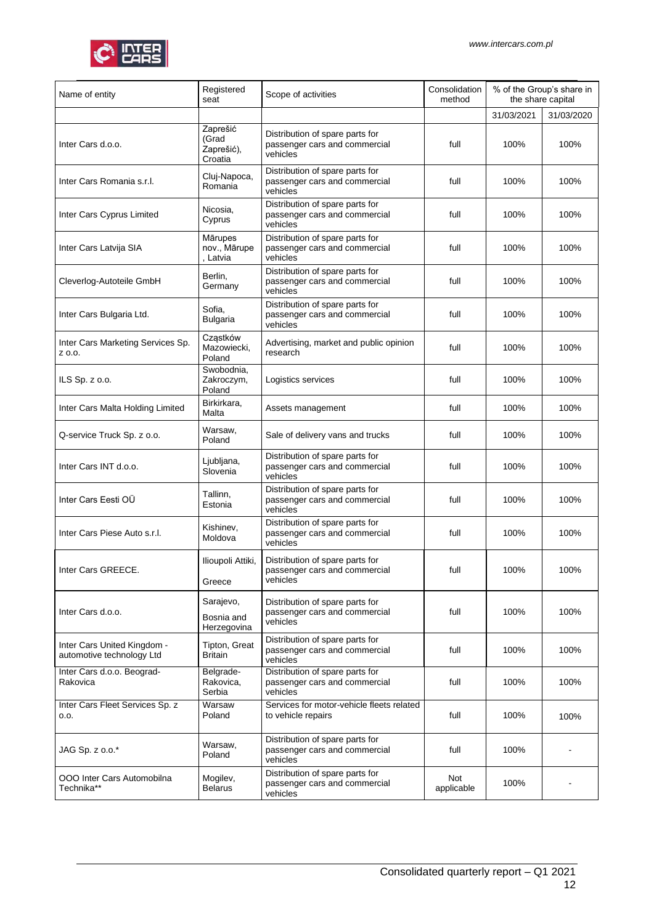

| Name of entity                                           | Registered<br>seat                         | Scope of activities                                                          | Consolidation<br>method | % of the Group's share in<br>the share capital |            |
|----------------------------------------------------------|--------------------------------------------|------------------------------------------------------------------------------|-------------------------|------------------------------------------------|------------|
|                                                          |                                            |                                                                              |                         | 31/03/2021                                     | 31/03/2020 |
| Inter Cars d.o.o.                                        | Zaprešić<br>(Grad<br>Zaprešić),<br>Croatia | Distribution of spare parts for<br>passenger cars and commercial<br>vehicles | full                    | 100%                                           | 100%       |
| Inter Cars Romania s.r.l.                                | Cluj-Napoca,<br>Romania                    | Distribution of spare parts for<br>passenger cars and commercial<br>vehicles | full                    | 100%                                           | 100%       |
| Inter Cars Cyprus Limited                                | Nicosia,<br>Cyprus                         | Distribution of spare parts for<br>passenger cars and commercial<br>vehicles | full                    | 100%                                           | 100%       |
| Inter Cars Latvija SIA                                   | Mārupes<br>nov., Mārupe<br>Latvia          | Distribution of spare parts for<br>passenger cars and commercial<br>vehicles | full                    | 100%                                           | 100%       |
| Cleverlog-Autoteile GmbH                                 | Berlin,<br>Germany                         | Distribution of spare parts for<br>passenger cars and commercial<br>vehicles | full                    | 100%                                           | 100%       |
| Inter Cars Bulgaria Ltd.                                 | Sofia,<br><b>Bulgaria</b>                  | Distribution of spare parts for<br>passenger cars and commercial<br>vehicles | full                    | 100%                                           | 100%       |
| Inter Cars Marketing Services Sp.<br>Z 0.0.              | Cząstków<br>Mazowiecki,<br>Poland          | Advertising, market and public opinion<br>research                           | full                    | 100%                                           | 100%       |
| ILS Sp. z o.o.                                           | Swobodnia,<br>Zakroczym,<br>Poland         | Logistics services                                                           | full                    | 100%                                           | 100%       |
| Inter Cars Malta Holding Limited                         | Birkirkara,<br>Malta                       | Assets management                                                            | full                    | 100%                                           | 100%       |
| Q-service Truck Sp. z o.o.                               | Warsaw,<br>Poland                          | Sale of delivery vans and trucks                                             | full                    | 100%                                           | 100%       |
| Inter Cars INT d.o.o.                                    | Ljubljana,<br>Slovenia                     | Distribution of spare parts for<br>passenger cars and commercial<br>vehicles | full                    | 100%                                           | 100%       |
| Inter Cars Eesti OÜ                                      | Tallinn,<br>Estonia                        | Distribution of spare parts for<br>passenger cars and commercial<br>vehicles | full                    | 100%                                           | 100%       |
| Inter Cars Piese Auto s.r.l.                             | Kishinev,<br>Moldova                       | Distribution of spare parts for<br>passenger cars and commercial<br>vehicles | full                    | 100%                                           | 100%       |
| Inter Cars GREECE.                                       | Ilioupoli Attiki,<br>Greece                | Distribution of spare parts for<br>passenger cars and commercial<br>vehicles | full                    | 100%                                           | 100%       |
| Inter Cars d.o.o.                                        | Sarajevo,<br>Bosnia and<br>Herzegovina     | Distribution of spare parts for<br>passenger cars and commercial<br>vehicles | full                    | 100%                                           | 100%       |
| Inter Cars United Kingdom -<br>automotive technology Ltd | Tipton, Great<br>Britain                   | Distribution of spare parts for<br>passenger cars and commercial<br>vehicles | full                    | 100%                                           | 100%       |
| Inter Cars d.o.o. Beograd-<br>Rakovica                   | Belgrade-<br>Rakovica,<br>Serbia           | Distribution of spare parts for<br>passenger cars and commercial<br>vehicles | full                    | 100%                                           | 100%       |
| Inter Cars Fleet Services Sp. z<br>0.0.                  | Warsaw<br>Poland                           | Services for motor-vehicle fleets related<br>to vehicle repairs              | full                    | 100%                                           | 100%       |
| JAG Sp. z o.o.*                                          | Warsaw,<br>Poland                          | Distribution of spare parts for<br>passenger cars and commercial<br>vehicles | full                    | 100%                                           |            |
| OOO Inter Cars Automobilna<br>Technika**                 | Mogilev,<br><b>Belarus</b>                 | Distribution of spare parts for<br>passenger cars and commercial<br>vehicles | Not<br>applicable       | 100%                                           |            |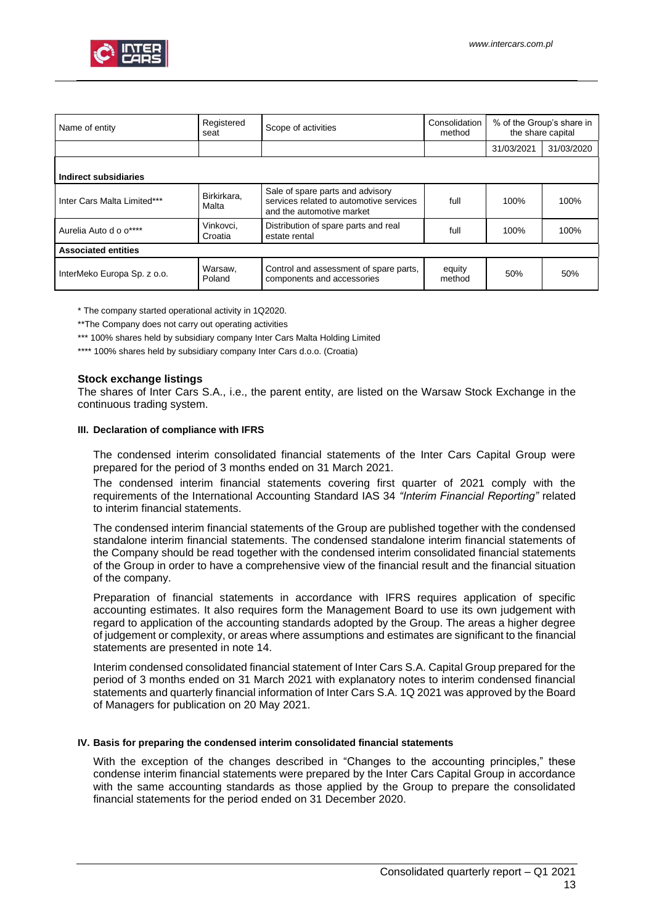

| Name of entity              | Registered<br>seat   | Scope of activities                                                                                      | Consolidation<br>method | % of the Group's share in<br>the share capital |            |  |  |
|-----------------------------|----------------------|----------------------------------------------------------------------------------------------------------|-------------------------|------------------------------------------------|------------|--|--|
|                             |                      |                                                                                                          |                         | 31/03/2021                                     | 31/03/2020 |  |  |
| Indirect subsidiaries       |                      |                                                                                                          |                         |                                                |            |  |  |
| Inter Cars Malta Limited*** | Birkirkara.<br>Malta | Sale of spare parts and advisory<br>services related to automotive services<br>and the automotive market | full                    | 100%                                           | 100%       |  |  |
| Aurelia Auto d o o****      | Vinkovci,<br>Croatia | Distribution of spare parts and real<br>estate rental                                                    | full                    | 100%                                           | 100%       |  |  |
| <b>Associated entities</b>  |                      |                                                                                                          |                         |                                                |            |  |  |
| InterMeko Europa Sp. z o.o. | Warsaw,<br>Poland    | Control and assessment of spare parts,<br>components and accessories                                     | equity<br>method        | 50%                                            | 50%        |  |  |

\* The company started operational activity in 1Q2020.

\*\*The Company does not carry out operating activities

\*\*\* 100% shares held by subsidiary company Inter Cars Malta Holding Limited

\*\*\*\* 100% shares held by subsidiary company Inter Cars d.o.o. (Croatia)

## **Stock exchange listings**

The shares of Inter Cars S.A., i.e., the parent entity, are listed on the Warsaw Stock Exchange in the continuous trading system.

#### <span id="page-12-0"></span>**III. Declaration of compliance with IFRS**

The condensed interim consolidated financial statements of the Inter Cars Capital Group were prepared for the period of 3 months ended on 31 March 2021.

The condensed interim financial statements covering first quarter of 2021 comply with the requirements of the International Accounting Standard IAS 34 *"Interim Financial Reporting"* related to interim financial statements.

The condensed interim financial statements of the Group are published together with the condensed standalone interim financial statements. The condensed standalone interim financial statements of the Company should be read together with the condensed interim consolidated financial statements of the Group in order to have a comprehensive view of the financial result and the financial situation of the company.

Preparation of financial statements in accordance with IFRS requires application of specific accounting estimates. It also requires form the Management Board to use its own judgement with regard to application of the accounting standards adopted by the Group. The areas a higher degree of judgement or complexity, or areas where assumptions and estimates are significant to the financial statements are presented in note 14.

Interim condensed consolidated financial statement of Inter Cars S.A. Capital Group prepared for the period of 3 months ended on 31 March 2021 with explanatory notes to interim condensed financial statements and quarterly financial information of Inter Cars S.A. 1Q 2021 was approved by the Board of Managers for publication on 20 May 2021.

## <span id="page-12-1"></span>**IV. Basis for preparing the condensed interim consolidated financial statements**

With the exception of the changes described in "Changes to the accounting principles," these condense interim financial statements were prepared by the Inter Cars Capital Group in accordance with the same accounting standards as those applied by the Group to prepare the consolidated financial statements for the period ended on 31 December 2020.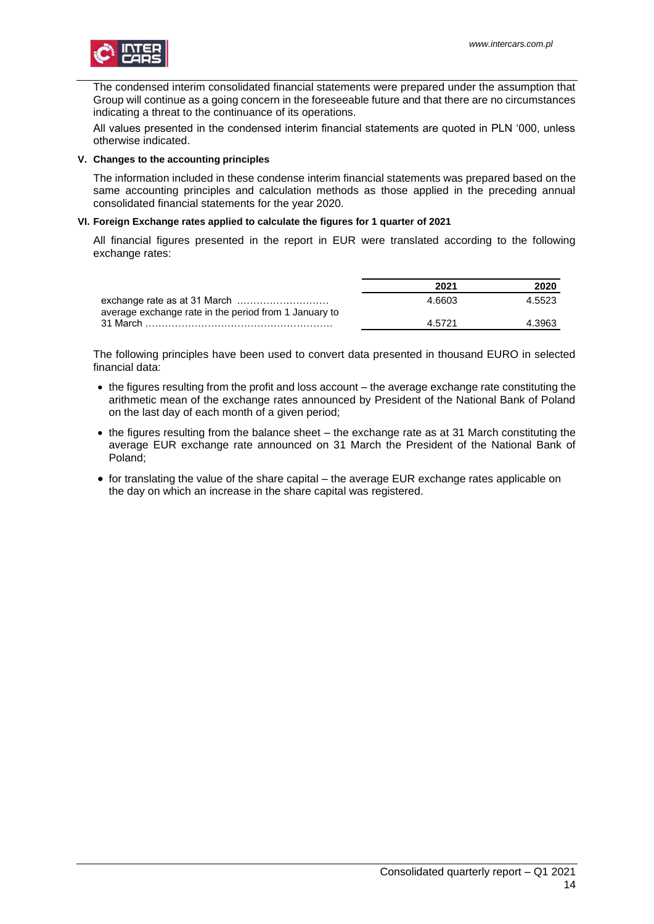

The condensed interim consolidated financial statements were prepared under the assumption that Group will continue as a going concern in the foreseeable future and that there are no circumstances indicating a threat to the continuance of its operations.

All values presented in the condensed interim financial statements are quoted in PLN '000, unless otherwise indicated.

### <span id="page-13-0"></span>**V. Changes to the accounting principles**

The information included in these condense interim financial statements was prepared based on the same accounting principles and calculation methods as those applied in the preceding annual consolidated financial statements for the year 2020.

## <span id="page-13-1"></span>**VI. Foreign Exchange rates applied to calculate the figures for 1 quarter of 2021**

All financial figures presented in the report in EUR were translated according to the following exchange rates:

|                                                       | 2021   | 2020   |
|-------------------------------------------------------|--------|--------|
| average exchange rate in the period from 1 January to | 4.6603 | 4.5523 |
|                                                       | 4.5721 | 4.3963 |

The following principles have been used to convert data presented in thousand EURO in selected financial data:

- the figures resulting from the profit and loss account the average exchange rate constituting the arithmetic mean of the exchange rates announced by President of the National Bank of Poland on the last day of each month of a given period;
- the figures resulting from the balance sheet the exchange rate as at 31 March constituting the average EUR exchange rate announced on 31 March the President of the National Bank of Poland;
- for translating the value of the share capital the average EUR exchange rates applicable on the day on which an increase in the share capital was registered.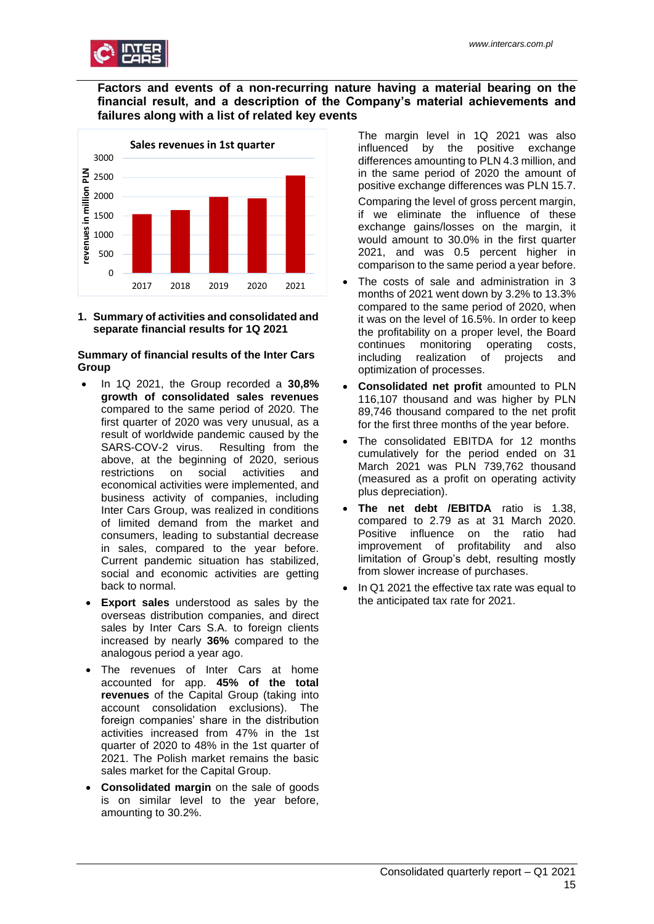

# **Factors and events of a non-recurring nature having a material bearing on the financial result, and a description of the Company's material achievements and failures along with a list of related key events**



<span id="page-14-0"></span>**1. Summary of activities and consolidated and separate financial results for 1Q 2021**

# **Summary of financial results of the Inter Cars Group**

- In 1Q 2021, the Group recorded a **30,8% growth of consolidated sales revenues** compared to the same period of 2020. The first quarter of 2020 was very unusual, as a result of worldwide pandemic caused by the SARS-COV-2 virus. Resulting from the above, at the beginning of 2020, serious restrictions on social activities and economical activities were implemented, and business activity of companies, including Inter Cars Group, was realized in conditions of limited demand from the market and consumers, leading to substantial decrease in sales, compared to the year before. Current pandemic situation has stabilized, social and economic activities are getting back to normal.
- **Export sales** understood as sales by the overseas distribution companies, and direct sales by Inter Cars S.A. to foreign clients increased by nearly **36%** compared to the analogous period a year ago.
- The revenues of Inter Cars at home accounted for app. **45% of the total revenues** of the Capital Group (taking into account consolidation exclusions). The foreign companies' share in the distribution activities increased from 47% in the 1st quarter of 2020 to 48% in the 1st quarter of 2021. The Polish market remains the basic sales market for the Capital Group.
- **Consolidated margin** on the sale of goods is on similar level to the year before, amounting to 30.2%.

The margin level in 1Q 2021 was also influenced by the positive exchange differences amounting to PLN 4.3 million, and in the same period of 2020 the amount of positive exchange differences was PLN 15.7.

Comparing the level of gross percent margin, if we eliminate the influence of these exchange gains/losses on the margin, it would amount to 30.0% in the first quarter 2021, and was 0.5 percent higher in comparison to the same period a year before.

- The costs of sale and administration in 3 months of 2021 went down by 3.2% to 13.3% compared to the same period of 2020, when it was on the level of 16.5%. In order to keep the profitability on a proper level, the Board continues monitoring operating costs, including realization of projects and optimization of processes.
- **Consolidated net profit** amounted to PLN 116,107 thousand and was higher by PLN 89,746 thousand compared to the net profit for the first three months of the year before.
- The consolidated EBITDA for 12 months cumulatively for the period ended on 31 March 2021 was PLN 739,762 thousand (measured as a profit on operating activity plus depreciation).
- **The net debt /EBITDA** ratio is 1.38, compared to 2.79 as at 31 March 2020. Positive influence on the ratio had improvement of profitability and also limitation of Group's debt, resulting mostly from slower increase of purchases.
- In Q1 2021 the effective tax rate was equal to the anticipated tax rate for 2021.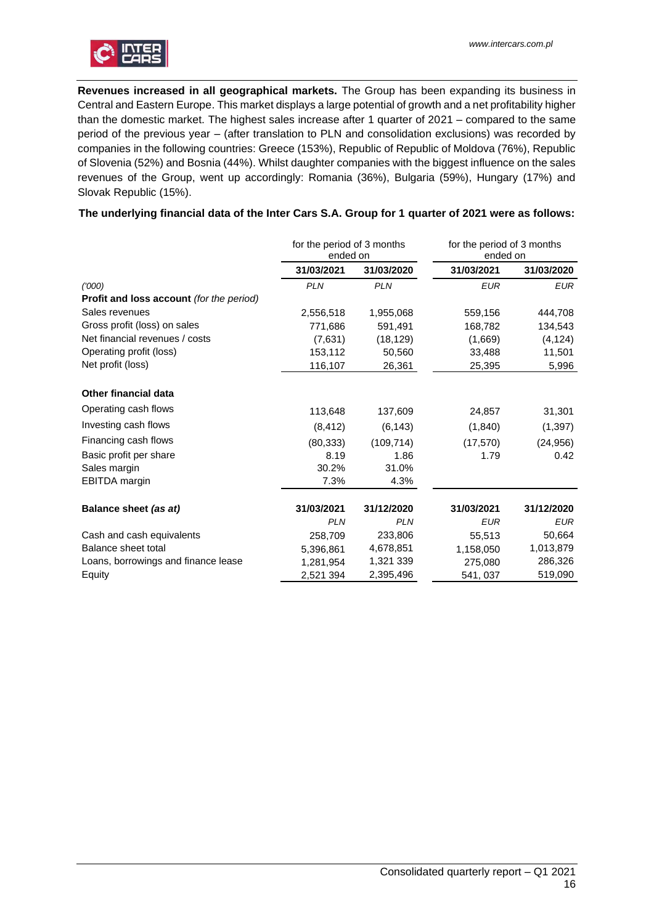

**Revenues increased in all geographical markets.** The Group has been expanding its business in Central and Eastern Europe. This market displays a large potential of growth and a net profitability higher than the domestic market. The highest sales increase after 1 quarter of 2021 – compared to the same period of the previous year – (after translation to PLN and consolidation exclusions) was recorded by companies in the following countries: Greece (153%), Republic of Republic of Moldova (76%), Republic of Slovenia (52%) and Bosnia (44%). Whilst daughter companies with the biggest influence on the sales revenues of the Group, went up accordingly: Romania (36%), Bulgaria (59%), Hungary (17%) and Slovak Republic (15%).

# **The underlying financial data of the Inter Cars S.A. Group for 1 quarter of 2021 were as follows:**

|                                          | for the period of 3 months<br>ended on |            | for the period of 3 months<br>ended on |            |
|------------------------------------------|----------------------------------------|------------|----------------------------------------|------------|
|                                          | 31/03/2021                             | 31/03/2020 | 31/03/2021                             | 31/03/2020 |
| (1000)                                   | <b>PLN</b>                             | <b>PLN</b> | <b>EUR</b>                             | <b>EUR</b> |
| Profit and loss account (for the period) |                                        |            |                                        |            |
| Sales revenues                           | 2,556,518                              | 1,955,068  | 559,156                                | 444,708    |
| Gross profit (loss) on sales             | 771,686                                | 591,491    | 168,782                                | 134,543    |
| Net financial revenues / costs           | (7,631)                                | (18, 129)  | (1,669)                                | (4, 124)   |
| Operating profit (loss)                  | 153,112                                | 50,560     | 33,488                                 | 11,501     |
| Net profit (loss)                        | 116,107                                | 26,361     | 25,395                                 | 5,996      |
| <b>Other financial data</b>              |                                        |            |                                        |            |
| Operating cash flows                     | 113,648                                | 137,609    | 24,857                                 | 31,301     |
| Investing cash flows                     | (8, 412)                               | (6, 143)   | (1, 840)                               | (1, 397)   |
| Financing cash flows                     | (80, 333)                              | (109, 714) | (17, 570)                              | (24, 956)  |
| Basic profit per share                   | 8.19                                   | 1.86       | 1.79                                   | 0.42       |
| Sales margin                             | 30.2%                                  | 31.0%      |                                        |            |
| EBITDA margin                            | 7.3%                                   | 4.3%       |                                        |            |
| Balance sheet (as at)                    | 31/03/2021                             | 31/12/2020 | 31/03/2021                             | 31/12/2020 |
|                                          | <b>PLN</b>                             | <b>PLN</b> | <b>EUR</b>                             | <b>EUR</b> |
| Cash and cash equivalents                | 258,709                                | 233,806    | 55,513                                 | 50,664     |
| Balance sheet total                      | 5,396,861                              | 4,678,851  | 1,158,050                              | 1,013,879  |
| Loans, borrowings and finance lease      | 1,281,954                              | 1,321 339  | 275,080                                | 286,326    |
| Equity                                   | 2,521 394                              | 2,395,496  | 541, 037                               | 519,090    |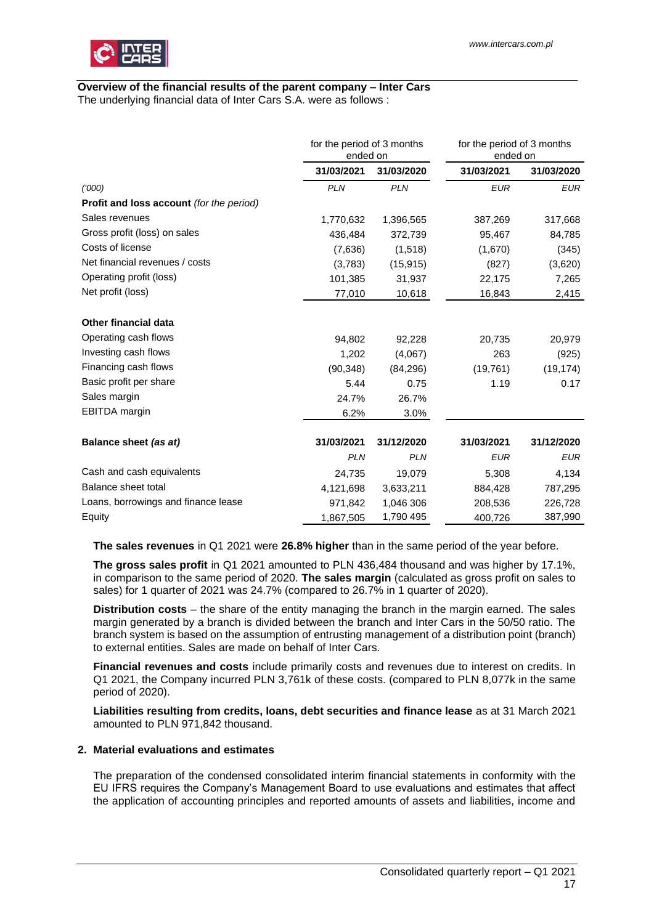

# **Overview of the financial results of the parent company – Inter Cars**

The underlying financial data of Inter Cars S.A. were as follows :

|                                                 |            | for the period of 3 months<br>ended on |            | for the period of 3 months<br>ended on |
|-------------------------------------------------|------------|----------------------------------------|------------|----------------------------------------|
|                                                 | 31/03/2021 | 31/03/2020                             | 31/03/2021 | 31/03/2020                             |
| (1000)                                          | <b>PLN</b> | <b>PLN</b>                             | <b>EUR</b> | <b>EUR</b>                             |
| <b>Profit and loss account</b> (for the period) |            |                                        |            |                                        |
| Sales revenues                                  | 1,770,632  | 1,396,565                              | 387,269    | 317,668                                |
| Gross profit (loss) on sales                    | 436,484    | 372,739                                | 95,467     | 84,785                                 |
| Costs of license                                | (7,636)    | (1,518)                                | (1,670)    | (345)                                  |
| Net financial revenues / costs                  | (3,783)    | (15, 915)                              | (827)      | (3,620)                                |
| Operating profit (loss)                         | 101,385    | 31,937                                 | 22,175     | 7,265                                  |
| Net profit (loss)                               | 77,010     | 10,618                                 | 16,843     | 2,415                                  |
| <b>Other financial data</b>                     |            |                                        |            |                                        |
| Operating cash flows                            | 94,802     | 92,228                                 | 20,735     | 20,979                                 |
| Investing cash flows                            | 1,202      | (4,067)                                | 263        | (925)                                  |
| Financing cash flows                            | (90, 348)  | (84, 296)                              | (19,761)   | (19, 174)                              |
| Basic profit per share                          | 5.44       | 0.75                                   | 1.19       | 0.17                                   |
| Sales margin                                    | 24.7%      | 26.7%                                  |            |                                        |
| <b>EBITDA</b> margin                            | 6.2%       | 3.0%                                   |            |                                        |
| Balance sheet (as at)                           | 31/03/2021 | 31/12/2020                             | 31/03/2021 | 31/12/2020                             |
|                                                 | <b>PLN</b> | <b>PLN</b>                             | <b>EUR</b> | <b>EUR</b>                             |
| Cash and cash equivalents                       | 24,735     | 19,079                                 | 5,308      | 4,134                                  |
| Balance sheet total                             | 4,121,698  | 3,633,211                              | 884,428    | 787,295                                |
| Loans, borrowings and finance lease             | 971,842    | 1,046 306                              | 208,536    | 226,728                                |
| Equity                                          | 1,867,505  | 1,790 495                              | 400,726    | 387,990                                |

**The sales revenues** in Q1 2021 were **26.8% higher** than in the same period of the year before.

**The gross sales profit** in Q1 2021 amounted to PLN 436,484 thousand and was higher by 17.1%, in comparison to the same period of 2020. **The sales margin** (calculated as gross profit on sales to sales) for 1 quarter of 2021 was 24.7% (compared to 26.7% in 1 quarter of 2020).

**Distribution costs** – the share of the entity managing the branch in the margin earned. The sales margin generated by a branch is divided between the branch and Inter Cars in the 50/50 ratio. The branch system is based on the assumption of entrusting management of a distribution point (branch) to external entities. Sales are made on behalf of Inter Cars.

**Financial revenues and costs** include primarily costs and revenues due to interest on credits. In Q1 2021, the Company incurred PLN 3,761k of these costs. (compared to PLN 8,077k in the same period of 2020).

**Liabilities resulting from credits, loans, debt securities and finance lease** as at 31 March 2021 amounted to PLN 971,842 thousand.

# <span id="page-16-0"></span>**2. Material evaluations and estimates**

The preparation of the condensed consolidated interim financial statements in conformity with the EU IFRS requires the Company's Management Board to use evaluations and estimates that affect the application of accounting principles and reported amounts of assets and liabilities, income and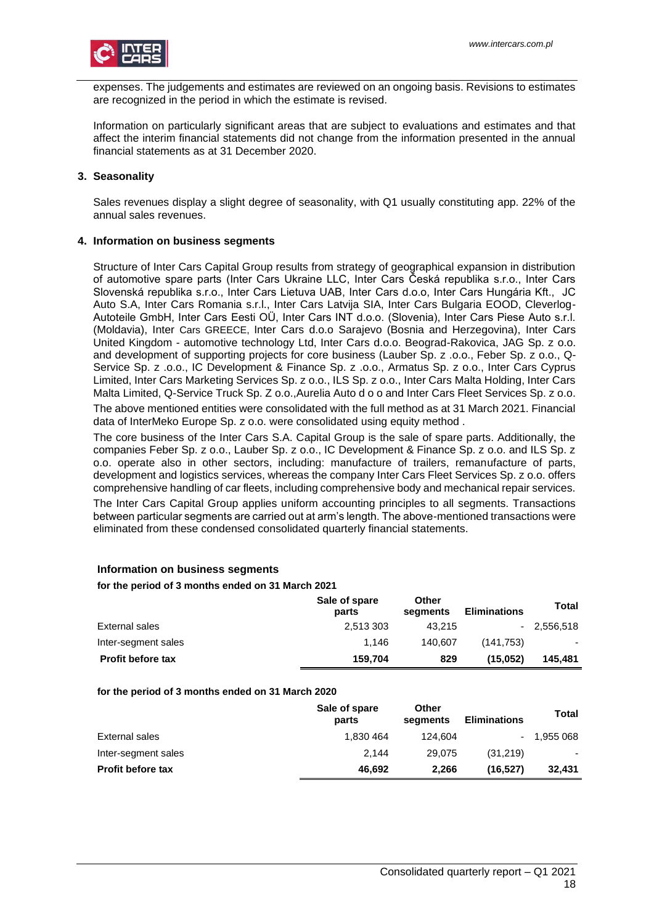expenses. The judgements and estimates are reviewed on an ongoing basis. Revisions to estimates are recognized in the period in which the estimate is revised.

Information on particularly significant areas that are subject to evaluations and estimates and that affect the interim financial statements did not change from the information presented in the annual financial statements as at 31 December 2020.

# <span id="page-17-0"></span>**3. Seasonality**

Sales revenues display a slight degree of seasonality, with Q1 usually constituting app. 22% of the annual sales revenues.

# <span id="page-17-1"></span>**4. Information on business segments**

Structure of Inter Cars Capital Group results from strategy of geographical expansion in distribution of automotive spare parts (Inter Cars Ukraine LLC, Inter Cars Česká republika s.r.o., Inter Cars Slovenská republika s.r.o., Inter Cars Lietuva UAB, Inter Cars d.o.o, Inter Cars Hungária Kft., JC Auto S.A, Inter Cars Romania s.r.l., Inter Cars Latvija SIA, Inter Cars Bulgaria EOOD, Cleverlog-Autoteile GmbH, Inter Cars Eesti OÜ, Inter Cars INT d.o.o. (Slovenia), Inter Cars Piese Auto s.r.l. (Moldavia), Inter Cars GREECE, Inter Cars d.o.o Sarajevo (Bosnia and Herzegovina), Inter Cars United Kingdom - automotive technology Ltd, Inter Cars d.o.o. Beograd-Rakovica, JAG Sp. z o.o. and development of supporting projects for core business (Lauber Sp. z .o.o., Feber Sp. z o.o., Q-Service Sp. z .o.o., IC Development & Finance Sp. z .o.o., Armatus Sp. z o.o., Inter Cars Cyprus Limited, Inter Cars Marketing Services Sp. z o.o., ILS Sp. z o.o., Inter Cars Malta Holding, Inter Cars Malta Limited, Q-Service Truck Sp. Z o.o.,Aurelia Auto d o o and Inter Cars Fleet Services Sp. z o.o.

The above mentioned entities were consolidated with the full method as at 31 March 2021. Financial data of InterMeko Europe Sp. z o.o. were consolidated using equity method .

The core business of the Inter Cars S.A. Capital Group is the sale of spare parts. Additionally, the companies Feber Sp. z o.o., Lauber Sp. z o.o., IC Development & Finance Sp. z o.o. and ILS Sp. z o.o. operate also in other sectors, including: manufacture of trailers, remanufacture of parts, development and logistics services, whereas the company Inter Cars Fleet Services Sp. z o.o. offers comprehensive handling of car fleets, including comprehensive body and mechanical repair services.

The Inter Cars Capital Group applies uniform accounting principles to all segments. Transactions between particular segments are carried out at arm's length. The above-mentioned transactions were eliminated from these condensed consolidated quarterly financial statements.

## **Information on business segments**

## **for the period of 3 months ended on 31 March 2021**

|                          | Sale of spare<br>parts | Other<br>segments | <b>Eliminations</b> | Total        |
|--------------------------|------------------------|-------------------|---------------------|--------------|
| External sales           | 2.513 303              | 43.215            |                     | $-2.556.518$ |
| Inter-segment sales      | 1.146                  | 140.607           | (141.753)           | ۰            |
| <b>Profit before tax</b> | 159.704                | 829               | (15.052)            | 145.481      |

## **for the period of 3 months ended on 31 March 2020**

|                          | Sale of spare<br>parts | Other<br>segments | <b>Eliminations</b> | Total     |
|--------------------------|------------------------|-------------------|---------------------|-----------|
| External sales           | 1,830 464              | 124.604           |                     | 1.955 068 |
| Inter-segment sales      | 2.144                  | 29.075            | (31.219)            | ٠         |
| <b>Profit before tax</b> | 46.692                 | 2.266             | (16,527)            | 32.431    |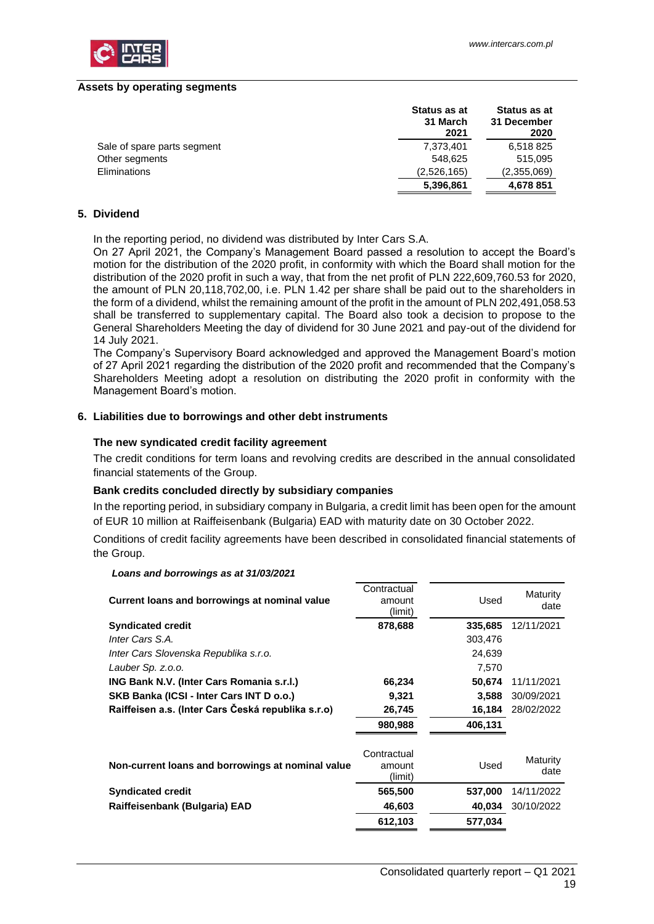

#### **Assets by operating segments**

|                             | Status as at<br>31 March<br>2021 | Status as at<br>31 December<br>2020 |
|-----------------------------|----------------------------------|-------------------------------------|
| Sale of spare parts segment | 7,373,401                        | 6,518 825                           |
| Other segments              | 548.625                          | 515,095                             |
| Eliminations                | (2,526,165)                      | (2,355,069)                         |
|                             | 5,396,861                        | 4,678 851                           |

# <span id="page-18-0"></span>**5. Dividend**

In the reporting period, no dividend was distributed by Inter Cars S.A.

On 27 April 2021, the Company's Management Board passed a resolution to accept the Board's motion for the distribution of the 2020 profit, in conformity with which the Board shall motion for the distribution of the 2020 profit in such a way, that from the net profit of PLN 222,609,760.53 for 2020, the amount of PLN 20,118,702,00, i.e. PLN 1.42 per share shall be paid out to the shareholders in the form of a dividend, whilst the remaining amount of the profit in the amount of PLN 202,491,058.53 shall be transferred to supplementary capital. The Board also took a decision to propose to the General Shareholders Meeting the day of dividend for 30 June 2021 and pay-out of the dividend for 14 July 2021.

The Company's Supervisory Board acknowledged and approved the Management Board's motion of 27 April 2021 regarding the distribution of the 2020 profit and recommended that the Company's Shareholders Meeting adopt a resolution on distributing the 2020 profit in conformity with the Management Board's motion.

### <span id="page-18-1"></span>**6. Liabilities due to borrowings and other debt instruments**

#### **The new syndicated credit facility agreement**

The credit conditions for term loans and revolving credits are described in the annual consolidated financial statements of the Group.

## **Bank credits concluded directly by subsidiary companies**

In the reporting period, in subsidiary company in Bulgaria, a credit limit has been open for the amount of EUR 10 million at Raiffeisenbank (Bulgaria) EAD with maturity date on 30 October 2022.

Conditions of credit facility agreements have been described in consolidated financial statements of the Group.

## *Loans and borrowings as at 31/03/2021*

| Current loans and borrowings at nominal value      | Contractual<br>amount<br>(limit) | Used    | Maturity<br>date |
|----------------------------------------------------|----------------------------------|---------|------------------|
| <b>Syndicated credit</b>                           | 878,688                          | 335,685 | 12/11/2021       |
| Inter Cars S.A.                                    |                                  | 303,476 |                  |
| Inter Cars Slovenska Republika s.r.o.              |                                  | 24,639  |                  |
| Lauber Sp. z.o.o.                                  |                                  | 7,570   |                  |
| ING Bank N.V. (Inter Cars Romania s.r.l.)          | 66,234                           | 50,674  | 11/11/2021       |
| SKB Banka (ICSI - Inter Cars INT D o.o.)           | 9,321                            | 3,588   | 30/09/2021       |
| Raiffeisen a.s. (Inter Cars Česká republika s.r.o) | 26,745                           | 16,184  | 28/02/2022       |
|                                                    | 980,988                          | 406,131 |                  |
| Non-current loans and borrowings at nominal value  | Contractual<br>amount<br>(limit) | Used    | Maturity<br>date |
| <b>Syndicated credit</b>                           | 565,500                          | 537,000 | 14/11/2022       |
| Raiffeisenbank (Bulgaria) EAD                      | 46,603                           | 40,034  | 30/10/2022       |
|                                                    | 612,103                          | 577,034 |                  |
|                                                    |                                  |         |                  |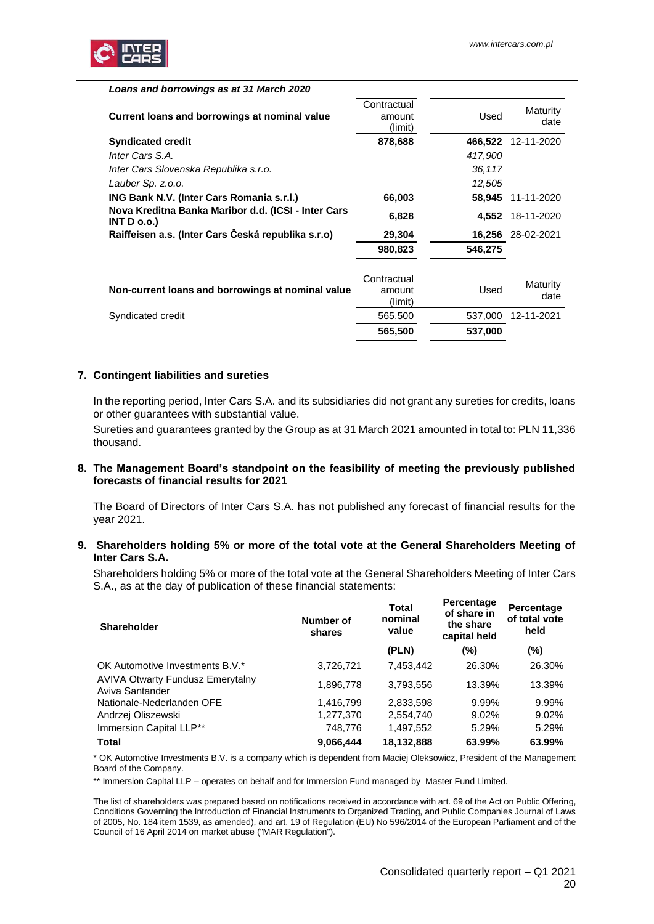| Loans and borrowings as at 31 March 2020                                  |                                  |         |                   |
|---------------------------------------------------------------------------|----------------------------------|---------|-------------------|
| Current loans and borrowings at nominal value                             | Contractual<br>amount<br>(limit) | Used    | Maturity<br>date  |
| <b>Syndicated credit</b>                                                  | 878,688                          | 466,522 | 12-11-2020        |
| Inter Cars S.A.                                                           |                                  | 417,900 |                   |
| Inter Cars Slovenska Republika s.r.o.                                     |                                  | 36,117  |                   |
| Lauber Sp. z.o.o.                                                         |                                  | 12,505  |                   |
| ING Bank N.V. (Inter Cars Romania s.r.l.)                                 | 66,003                           | 58.945  | 11-11-2020        |
| Nova Kreditna Banka Maribor d.d. (ICSI - Inter Cars<br><b>INT D o.o.)</b> | 6,828                            |         | 4,552 18-11-2020  |
| Raiffeisen a.s. (Inter Cars Česká republika s.r.o)                        | 29,304                           |         | 16,256 28-02-2021 |
|                                                                           | 980,823                          | 546,275 |                   |
| Non-current loans and borrowings at nominal value                         | Contractual<br>amount<br>(limit) | Used    | Maturity<br>date  |
| Syndicated credit                                                         | 565,500                          | 537,000 | 12-11-2021        |
|                                                                           | 565,500                          | 537,000 |                   |

## <span id="page-19-0"></span>**7. Contingent liabilities and sureties**

In the reporting period, Inter Cars S.A. and its subsidiaries did not grant any sureties for credits, loans or other guarantees with substantial value.

Sureties and guarantees granted by the Group as at 31 March 2021 amounted in total to: PLN 11,336 thousand.

### <span id="page-19-1"></span>**8. The Management Board's standpoint on the feasibility of meeting the previously published forecasts of financial results for 2021**

The Board of Directors of Inter Cars S.A. has not published any forecast of financial results for the year 2021.

### <span id="page-19-2"></span>**9. Shareholders holding 5% or more of the total vote at the General Shareholders Meeting of Inter Cars S.A.**

Shareholders holding 5% or more of the total vote at the General Shareholders Meeting of Inter Cars S.A., as at the day of publication of these financial statements:

| <b>Shareholder</b>                                         | Number of<br>shares | Total<br>nominal<br>value | Percentage<br>of share in<br>the share<br>capital held | Percentage<br>of total vote<br>held |
|------------------------------------------------------------|---------------------|---------------------------|--------------------------------------------------------|-------------------------------------|
|                                                            |                     | (PLN)                     | $(\% )$                                                | $(\%)$                              |
| OK Automotive Investments B.V.*                            | 3,726,721           | 7,453,442                 | 26.30%                                                 | 26.30%                              |
| <b>AVIVA Otwarty Fundusz Emerytalny</b><br>Aviva Santander | 1,896,778           | 3,793,556                 | 13.39%                                                 | 13.39%                              |
| Nationale-Nederlanden OFE                                  | 1.416.799           | 2,833,598                 | 9.99%                                                  | 9.99%                               |
| Andrzej Oliszewski                                         | 1,277,370           | 2,554,740                 | 9.02%                                                  | 9.02%                               |
| Immersion Capital LLP**                                    | 748,776             | 1,497,552                 | 5.29%                                                  | 5.29%                               |
| <b>Total</b>                                               | 9,066,444           | 18,132,888                | 63.99%                                                 | 63.99%                              |

\* OK Automotive Investments B.V. is a company which is dependent from Maciej Oleksowicz, President of the Management Board of the Company.

\*\* Immersion Capital LLP – operates on behalf and for Immersion Fund managed by Master Fund Limited.

The list of shareholders was prepared based on notifications received in accordance with art. 69 of the Act on Public Offering, Conditions Governing the Introduction of Financial Instruments to Organized Trading, and Public Companies Journal of Laws of 2005, No. 184 item 1539, as amended), and art. 19 of Regulation (EU) No 596/2014 of the European Parliament and of the Council of 16 April 2014 on market abuse ("MAR Regulation").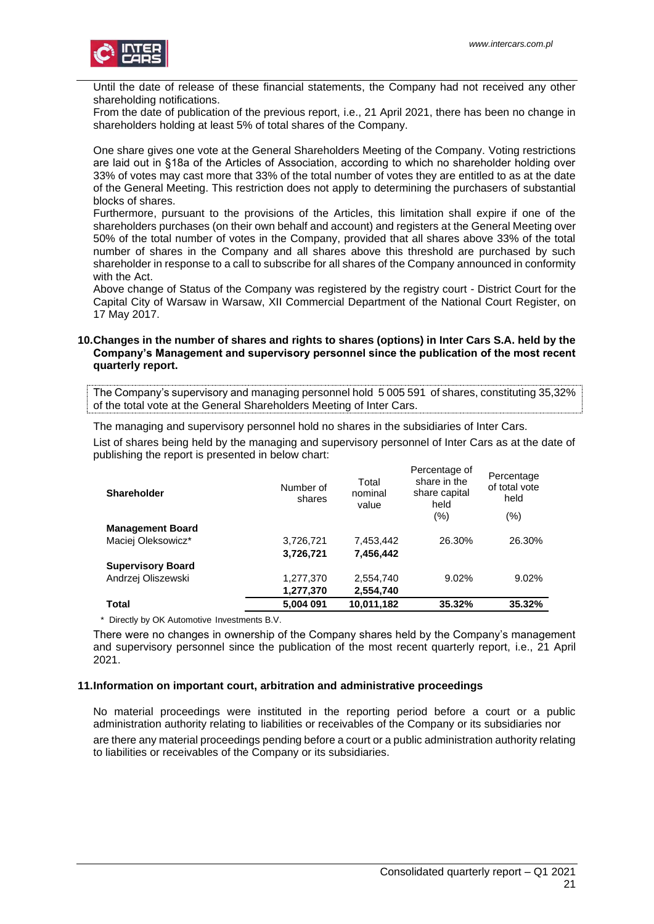

Until the date of release of these financial statements, the Company had not received any other shareholding notifications.

From the date of publication of the previous report, i.e., 21 April 2021, there has been no change in shareholders holding at least 5% of total shares of the Company.

One share gives one vote at the General Shareholders Meeting of the Company. Voting restrictions are laid out in §18a of the Articles of Association, according to which no shareholder holding over 33% of votes may cast more that 33% of the total number of votes they are entitled to as at the date of the General Meeting. This restriction does not apply to determining the purchasers of substantial blocks of shares.

Furthermore, pursuant to the provisions of the Articles, this limitation shall expire if one of the shareholders purchases (on their own behalf and account) and registers at the General Meeting over 50% of the total number of votes in the Company, provided that all shares above 33% of the total number of shares in the Company and all shares above this threshold are purchased by such shareholder in response to a call to subscribe for all shares of the Company announced in conformity with the Act.

Above change of Status of the Company was registered by the registry court - District Court for the Capital City of Warsaw in Warsaw, XII Commercial Department of the National Court Register, on 17 May 2017.

## <span id="page-20-0"></span>**10.Changes in the number of shares and rights to shares (options) in Inter Cars S.A. held by the Company's Management and supervisory personnel since the publication of the most recent quarterly report.**

The Company's supervisory and managing personnel hold 5 005 591 of shares, constituting 35,32% of the total vote at the General Shareholders Meeting of Inter Cars.

The managing and supervisory personnel hold no shares in the subsidiaries of Inter Cars.

List of shares being held by the managing and supervisory personnel of Inter Cars as at the date of publishing the report is presented in below chart:

| <b>Shareholder</b>       | Number of<br>shares | Total<br>nominal<br>value | Percentage of<br>share in the<br>share capital<br>held | Percentage<br>of total vote<br>held |
|--------------------------|---------------------|---------------------------|--------------------------------------------------------|-------------------------------------|
|                          |                     |                           | (%)                                                    | (% )                                |
| <b>Management Board</b>  |                     |                           |                                                        |                                     |
| Maciej Oleksowicz*       | 3,726,721           | 7,453,442                 | 26.30%                                                 | 26.30%                              |
|                          | 3,726,721           | 7,456,442                 |                                                        |                                     |
| <b>Supervisory Board</b> |                     |                           |                                                        |                                     |
| Andrzej Oliszewski       | 1,277,370           | 2,554,740                 | $9.02\%$                                               | 9.02%                               |
|                          | 1,277,370           | 2,554,740                 |                                                        |                                     |
| Total                    | 5.004 091           | 10,011,182                | 35.32%                                                 | 35.32%                              |

\* Directly by OK Automotive Investments B.V.

There were no changes in ownership of the Company shares held by the Company's management and supervisory personnel since the publication of the most recent quarterly report, i.e., 21 April 2021.

## <span id="page-20-1"></span>**11.Information on important court, arbitration and administrative proceedings**

No material proceedings were instituted in the reporting period before a court or a public administration authority relating to liabilities or receivables of the Company or its subsidiaries nor are there any material proceedings pending before a court or a public administration authority relating to liabilities or receivables of the Company or its subsidiaries.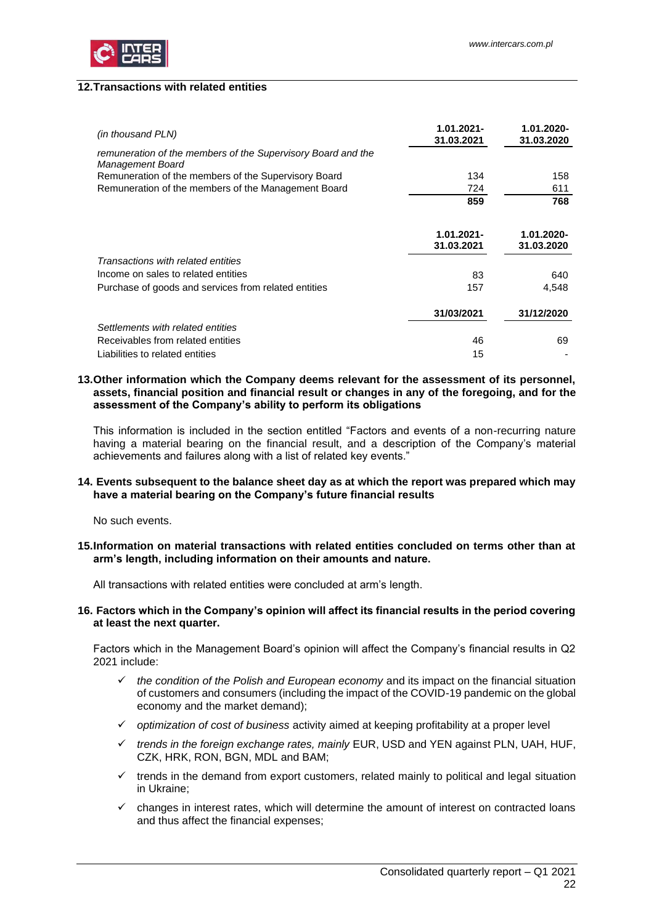

## <span id="page-21-0"></span>**12.Transactions with related entities**

| (in thousand PLN)                                                                | 1.01.2021-<br>31.03.2021 | 1.01.2020-<br>31.03.2020 |
|----------------------------------------------------------------------------------|--------------------------|--------------------------|
| remuneration of the members of the Supervisory Board and the<br>Management Board |                          |                          |
| Remuneration of the members of the Supervisory Board                             | 134                      | 158                      |
| Remuneration of the members of the Management Board                              | 724                      | 611                      |
|                                                                                  | 859                      | 768                      |
|                                                                                  | 1.01.2021-<br>31.03.2021 | 1.01.2020-<br>31.03.2020 |
| Transactions with related entities                                               |                          |                          |
| Income on sales to related entities                                              | 83                       | 640                      |
| Purchase of goods and services from related entities                             | 157                      | 4,548                    |
|                                                                                  | 31/03/2021               | 31/12/2020               |
| Settlements with related entities                                                |                          |                          |
| Receivables from related entities                                                | 46                       | 69                       |
| Liabilities to related entities                                                  | 15                       |                          |

# <span id="page-21-1"></span>**13.Other information which the Company deems relevant for the assessment of its personnel, assets, financial position and financial result or changes in any of the foregoing, and for the assessment of the Company's ability to perform its obligations**

This information is included in the section entitled "Factors and events of a non-recurring nature having a material bearing on the financial result, and a description of the Company's material achievements and failures along with a list of related key events."

# <span id="page-21-2"></span>**14. Events subsequent to the balance sheet day as at which the report was prepared which may have a material bearing on the Company's future financial results**

No such events.

<span id="page-21-3"></span>**15.Information on material transactions with related entities concluded on terms other than at arm's length, including information on their amounts and nature.**

<span id="page-21-4"></span>All transactions with related entities were concluded at arm's length.

## **16. Factors which in the Company's opinion will affect its financial results in the period covering at least the next quarter.**

Factors which in the Management Board's opinion will affect the Company's financial results in Q2 2021 include:

- ✓ *the condition of the Polish and European economy* and its impact on the financial situation of customers and consumers (including the impact of the COVID-19 pandemic on the global economy and the market demand);
- ✓ *optimization of cost of business* activity aimed at keeping profitability at a proper level
- ✓ *trends in the foreign exchange rates, mainly* EUR, USD and YEN against PLN, UAH, HUF, CZK, HRK, RON, BGN, MDL and BAM;
- $\checkmark$  trends in the demand from export customers, related mainly to political and legal situation in Ukraine;
- ✓ changes in interest rates, which will determine the amount of interest on contracted loans and thus affect the financial expenses;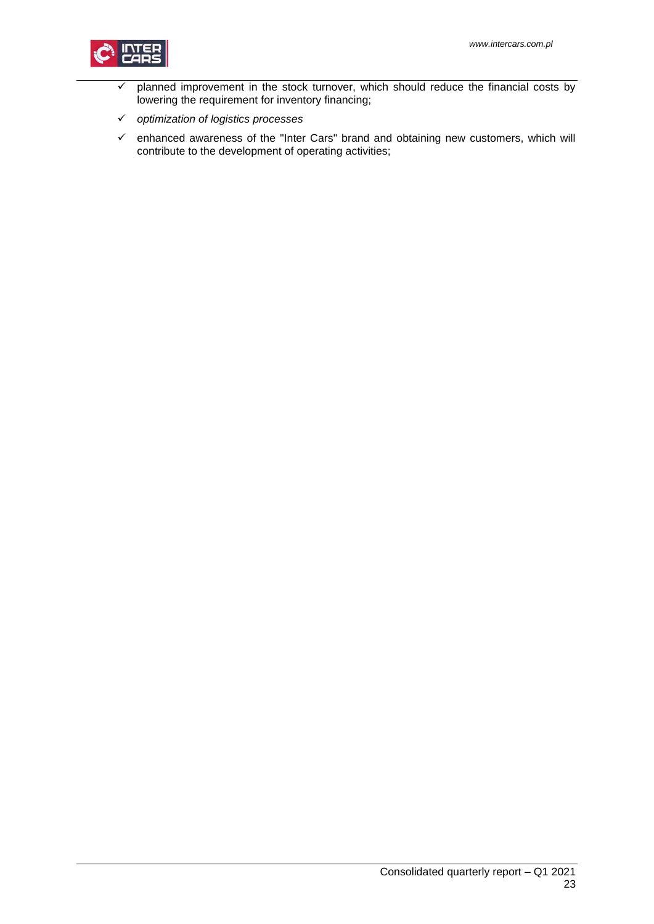

- $\checkmark$  planned improvement in the stock turnover, which should reduce the financial costs by lowering the requirement for inventory financing;
- ✓ *optimization of logistics processes*
- ✓ enhanced awareness of the "Inter Cars" brand and obtaining new customers, which will contribute to the development of operating activities;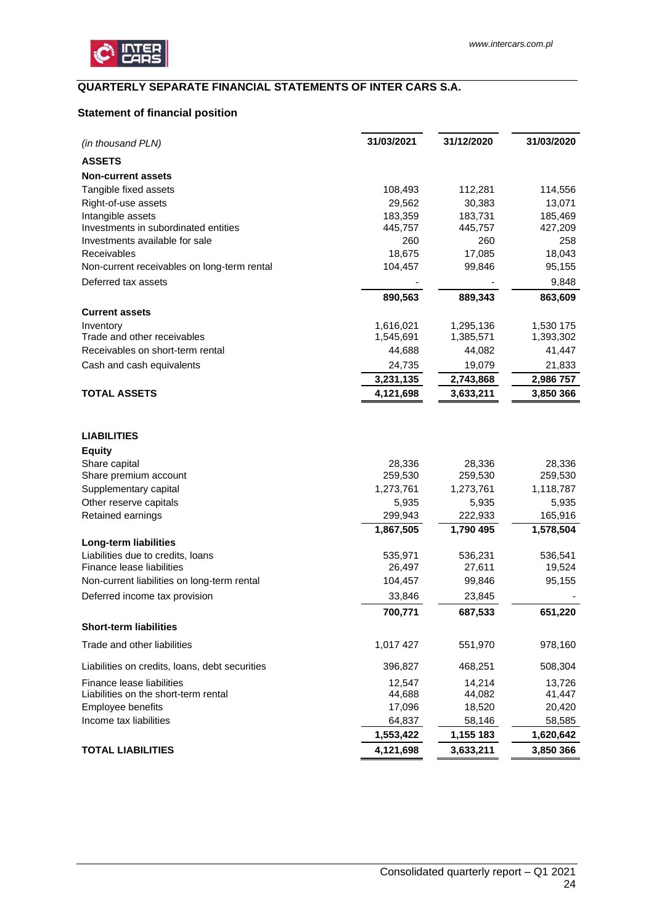

# <span id="page-23-0"></span>**QUARTERLY SEPARATE FINANCIAL STATEMENTS OF INTER CARS S.A.**

# <span id="page-23-1"></span>**Statement of financial position**

| (in thousand PLN)                              | 31/03/2021 | 31/12/2020 | 31/03/2020 |
|------------------------------------------------|------------|------------|------------|
| <b>ASSETS</b>                                  |            |            |            |
| <b>Non-current assets</b>                      |            |            |            |
| Tangible fixed assets                          | 108,493    | 112,281    | 114,556    |
| Right-of-use assets                            | 29,562     | 30,383     | 13,071     |
| Intangible assets                              | 183,359    | 183,731    | 185,469    |
| Investments in subordinated entities           | 445,757    | 445,757    | 427,209    |
| Investments available for sale                 | 260        | 260        | 258        |
| Receivables                                    | 18,675     | 17,085     | 18,043     |
| Non-current receivables on long-term rental    | 104,457    | 99,846     | 95,155     |
| Deferred tax assets                            |            |            | 9,848      |
|                                                | 890,563    | 889,343    | 863,609    |
| <b>Current assets</b>                          |            |            |            |
| Inventory                                      | 1,616,021  | 1,295,136  | 1,530 175  |
| Trade and other receivables                    | 1,545,691  | 1,385,571  | 1,393,302  |
| Receivables on short-term rental               | 44,688     | 44,082     | 41,447     |
| Cash and cash equivalents                      | 24,735     | 19,079     | 21,833     |
|                                                | 3,231,135  | 2,743,868  | 2,986 757  |
| <b>TOTAL ASSETS</b>                            | 4,121,698  | 3,633,211  | 3,850 366  |
| <b>LIABILITIES</b>                             |            |            |            |
| <b>Equity</b>                                  |            |            |            |
| Share capital                                  | 28,336     | 28,336     | 28,336     |
| Share premium account                          | 259,530    | 259,530    | 259,530    |
| Supplementary capital                          | 1,273,761  | 1,273,761  | 1,118,787  |
| Other reserve capitals                         | 5,935      | 5,935      | 5,935      |
| Retained earnings                              | 299,943    | 222,933    | 165,916    |
|                                                | 1,867,505  | 1,790 495  | 1,578,504  |
| Long-term liabilities                          |            |            |            |
| Liabilities due to credits, loans              | 535,971    | 536,231    | 536,541    |
| Finance lease liabilities                      | 26,497     | 27,611     | 19,524     |
| Non-current liabilities on long-term rental    | 104,457    | 99,846     | 95,155     |
| Deferred income tax provision                  | 33,846     | 23,845     |            |
|                                                | 700,771    | 687,533    | 651,220    |
| <b>Short-term liabilities</b>                  |            |            |            |
| Trade and other liabilities                    | 1,017 427  | 551,970    | 978,160    |
| Liabilities on credits, loans, debt securities | 396,827    | 468,251    | 508,304    |
| <b>Finance lease liabilities</b>               | 12,547     | 14,214     | 13,726     |
| Liabilities on the short-term rental           | 44,688     | 44,082     | 41,447     |
| Employee benefits                              | 17,096     | 18,520     | 20,420     |
| Income tax liabilities                         | 64,837     | 58,146     | 58,585     |
|                                                | 1,553,422  | 1,155 183  | 1,620,642  |
| <b>TOTAL LIABILITIES</b>                       | 4,121,698  | 3,633,211  | 3,850 366  |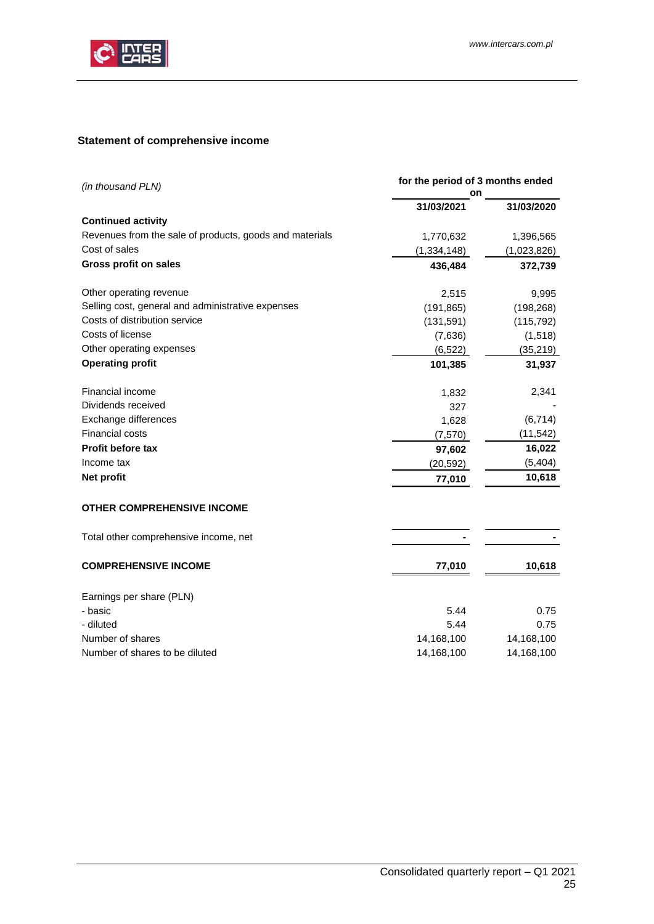

# <span id="page-24-0"></span>**Statement of comprehensive income**

| for the period of 3 months ended<br>(in thousand PLN)<br>on |               |             |
|-------------------------------------------------------------|---------------|-------------|
|                                                             | 31/03/2021    | 31/03/2020  |
| <b>Continued activity</b>                                   |               |             |
| Revenues from the sale of products, goods and materials     | 1,770,632     | 1,396,565   |
| Cost of sales                                               | (1, 334, 148) | (1,023,826) |
| Gross profit on sales                                       | 436,484       | 372,739     |
| Other operating revenue                                     | 2,515         | 9,995       |
| Selling cost, general and administrative expenses           | (191, 865)    | (198, 268)  |
| Costs of distribution service                               | (131, 591)    | (115, 792)  |
| Costs of license                                            | (7,636)       | (1, 518)    |
| Other operating expenses                                    | (6, 522)      | (35, 219)   |
| <b>Operating profit</b>                                     | 101,385       | 31,937      |
| Financial income                                            | 1,832         | 2,341       |
| Dividends received                                          | 327           |             |
| Exchange differences                                        | 1,628         | (6, 714)    |
| Financial costs                                             | (7, 570)      | (11, 542)   |
| Profit before tax                                           | 97,602        | 16,022      |
| Income tax                                                  | (20, 592)     | (5, 404)    |
| Net profit                                                  | 77,010        | 10,618      |
| <b>OTHER COMPREHENSIVE INCOME</b>                           |               |             |
| Total other comprehensive income, net                       |               |             |
| <b>COMPREHENSIVE INCOME</b>                                 | 77,010        | 10,618      |
| Earnings per share (PLN)                                    |               |             |
| - basic                                                     | 5.44          | 0.75        |
| - diluted                                                   | 5.44          | 0.75        |
| Number of shares                                            | 14,168,100    | 14,168,100  |
| Number of shares to be diluted                              | 14,168,100    | 14,168,100  |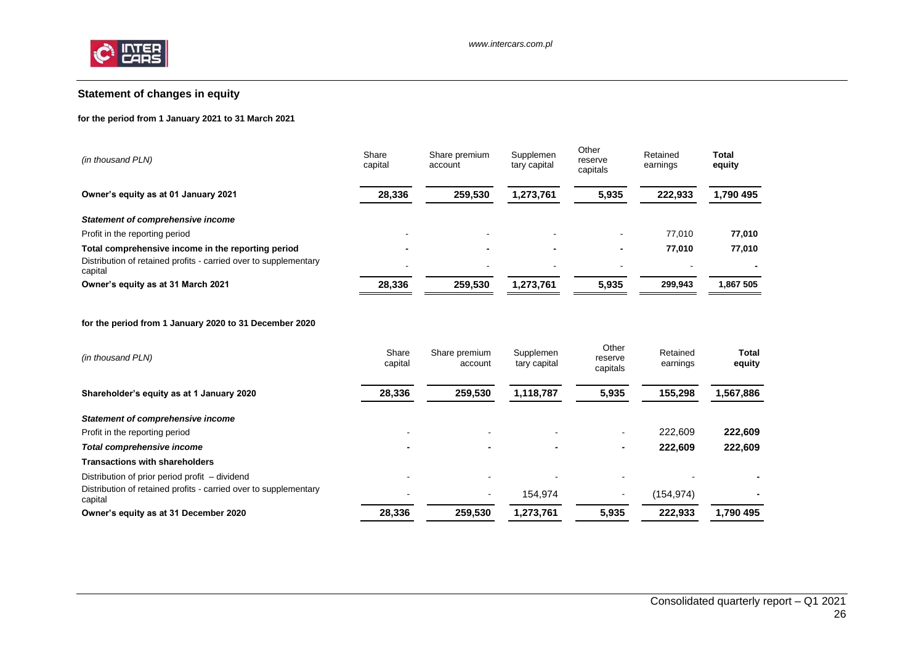

# **Statement of changes in equity**

## **for the period from 1 January 2021 to 31 March 2021**

| (in thousand PLN)                                                           | Share<br>capital | Share premium<br>account | Supplemen<br>tary capital | Other<br>reserve<br>capitals | Retained<br>earnings | Total<br>equity |
|-----------------------------------------------------------------------------|------------------|--------------------------|---------------------------|------------------------------|----------------------|-----------------|
| Owner's equity as at 01 January 2021                                        | 28,336           | 259.530                  | 1,273,761                 | 5,935                        | 222.933              | 1,790 495       |
| Statement of comprehensive income                                           |                  |                          |                           |                              |                      |                 |
| Profit in the reporting period                                              |                  | $\overline{\phantom{0}}$ |                           |                              | 77.010               | 77,010          |
| Total comprehensive income in the reporting period                          |                  | $\overline{\phantom{a}}$ |                           |                              | 77.010               | 77,010          |
| Distribution of retained profits - carried over to supplementary<br>capital |                  | $\,$                     |                           |                              |                      |                 |
| Owner's equity as at 31 March 2021                                          | 28,336           | 259.530                  | 1,273,761                 | 5,935                        | 299,943              | 1,867 505       |

#### **for the period from 1 January 2020 to 31 December 2020**

<span id="page-25-0"></span>

| (in thousand PLN)                                                           | Share<br>capital | Share premium<br>account | Supplemen<br>tary capital | Other<br>reserve<br>capitals | Retained<br>earnings | <b>Total</b><br>equity |
|-----------------------------------------------------------------------------|------------------|--------------------------|---------------------------|------------------------------|----------------------|------------------------|
| Shareholder's equity as at 1 January 2020                                   | 28,336           | 259,530                  | 1,118,787                 | 5,935                        | 155,298              | 1,567,886              |
| <b>Statement of comprehensive income</b>                                    |                  |                          |                           |                              |                      |                        |
| Profit in the reporting period                                              |                  |                          |                           | $\sim$                       | 222.609              | 222,609                |
| Total comprehensive income                                                  |                  |                          |                           | $\overline{\phantom{a}}$     | 222.609              | 222,609                |
| <b>Transactions with shareholders</b>                                       |                  |                          |                           |                              |                      |                        |
| Distribution of prior period profit – dividend                              |                  |                          |                           |                              |                      |                        |
| Distribution of retained profits - carried over to supplementary<br>capital |                  | $\sim$                   | 154.974                   | $\,$                         | (154,974)            |                        |
| Owner's equity as at 31 December 2020                                       | 28,336           | 259.530                  | 1.273.761                 | 5,935                        | 222.933              | 1.790 495              |
|                                                                             |                  |                          |                           |                              |                      |                        |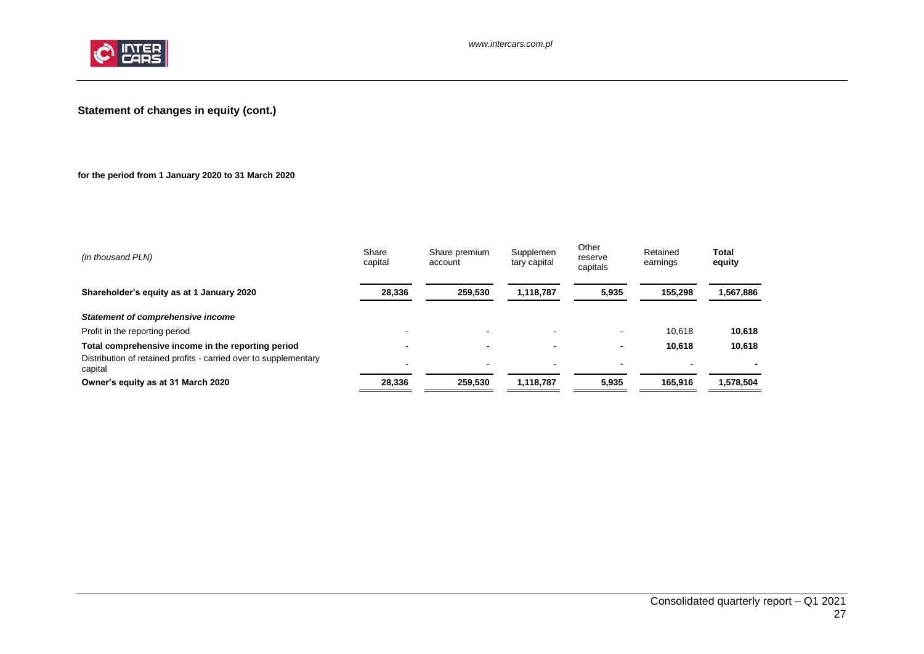

# **Statement of changes in equity (cont.)**

# **for the period from 1 January 2020 to 31 March 2020**

<span id="page-26-0"></span>

| (in thousand PLN)                                                           | Share<br>capital | Share premium<br>account | Supplemen<br>tary capital | Other<br>reserve<br>capitals | Retained<br>earnings | <b>Total</b><br>equity |
|-----------------------------------------------------------------------------|------------------|--------------------------|---------------------------|------------------------------|----------------------|------------------------|
| Shareholder's equity as at 1 January 2020                                   | 28,336           | 259.530                  | 1,118,787                 | 5,935                        | 155.298              | 1,567,886              |
| Statement of comprehensive income                                           |                  |                          |                           |                              |                      |                        |
| Profit in the reporting period                                              |                  | $\overline{\phantom{a}}$ |                           |                              | 10.618               | 10,618                 |
| Total comprehensive income in the reporting period                          |                  | $\blacksquare$           |                           | $\overline{\phantom{0}}$     | 10.618               | 10,618                 |
| Distribution of retained profits - carried over to supplementary<br>capital |                  | $\overline{\phantom{0}}$ |                           | -                            |                      |                        |
| Owner's equity as at 31 March 2020                                          | 28.336           | 259,530                  | 1,118,787                 | 5.935                        | 165.916              | 1,578,504              |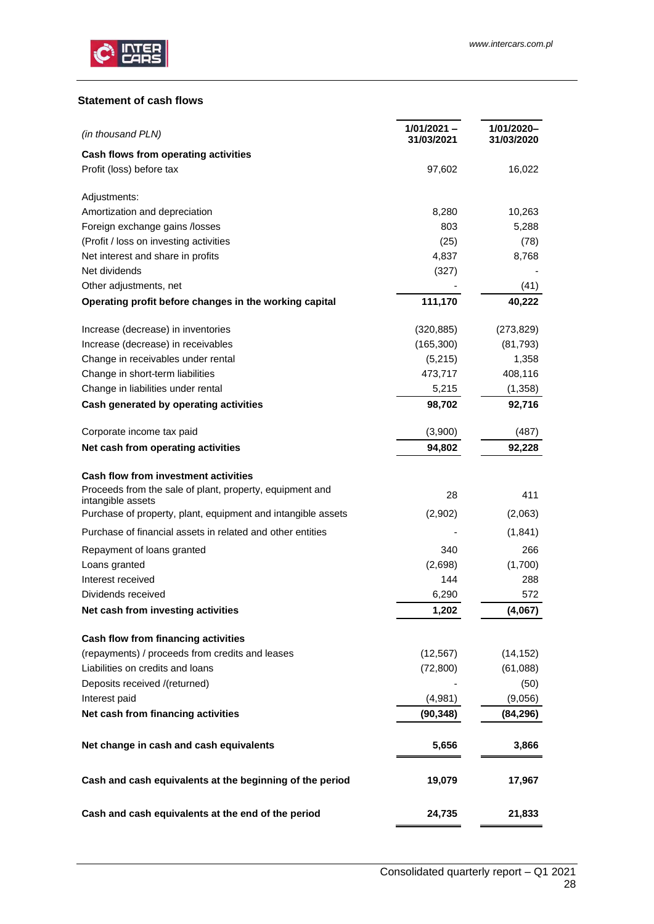

# <span id="page-27-0"></span>**Statement of cash flows**

| (in thousand PLN)                                                                 | 1/01/2021 -<br>31/03/2021 | 1/01/2020-<br>31/03/2020 |
|-----------------------------------------------------------------------------------|---------------------------|--------------------------|
| Cash flows from operating activities                                              |                           |                          |
| Profit (loss) before tax                                                          | 97,602                    | 16,022                   |
| Adjustments:                                                                      |                           |                          |
| Amortization and depreciation                                                     | 8,280                     | 10,263                   |
| Foreign exchange gains /losses                                                    | 803                       | 5,288                    |
| (Profit / loss on investing activities                                            | (25)                      | (78)                     |
| Net interest and share in profits                                                 | 4,837                     | 8,768                    |
| Net dividends                                                                     | (327)                     |                          |
| Other adjustments, net                                                            |                           | (41)                     |
| Operating profit before changes in the working capital                            | 111,170                   | 40,222                   |
| Increase (decrease) in inventories                                                | (320, 885)                | (273, 829)               |
| Increase (decrease) in receivables                                                | (165, 300)                | (81, 793)                |
| Change in receivables under rental                                                | (5,215)                   | 1,358                    |
| Change in short-term liabilities                                                  | 473,717                   | 408,116                  |
| Change in liabilities under rental                                                | 5,215                     | (1,358)                  |
| Cash generated by operating activities                                            | 98,702                    | 92,716                   |
| Corporate income tax paid                                                         | (3,900)                   | (487)                    |
| Net cash from operating activities                                                | 94,802                    | 92,228                   |
| <b>Cash flow from investment activities</b>                                       |                           |                          |
| Proceeds from the sale of plant, property, equipment and                          | 28                        | 411                      |
| intangible assets<br>Purchase of property, plant, equipment and intangible assets | (2,902)                   | (2,063)                  |
| Purchase of financial assets in related and other entities                        |                           | (1,841)                  |
| Repayment of loans granted                                                        | 340                       | 266                      |
| Loans granted                                                                     | (2,698)                   | (1,700)                  |
| Interest received                                                                 | 144                       | 288                      |
| Dividends received                                                                | 6,290                     | 572                      |
| Net cash from investing activities                                                | 1,202                     | (4,067)                  |
| Cash flow from financing activities                                               |                           |                          |
| (repayments) / proceeds from credits and leases                                   | (12, 567)                 | (14, 152)                |
| Liabilities on credits and loans                                                  | (72, 800)                 | (61,088)                 |
| Deposits received /(returned)                                                     |                           | (50)                     |
| Interest paid                                                                     | (4,981)                   | (9,056)                  |
| Net cash from financing activities                                                | (90, 348)                 | (84,296)                 |
| Net change in cash and cash equivalents                                           | 5,656                     | 3,866                    |
| Cash and cash equivalents at the beginning of the period                          | 19,079                    | 17,967                   |
| Cash and cash equivalents at the end of the period                                | 24,735                    | 21,833                   |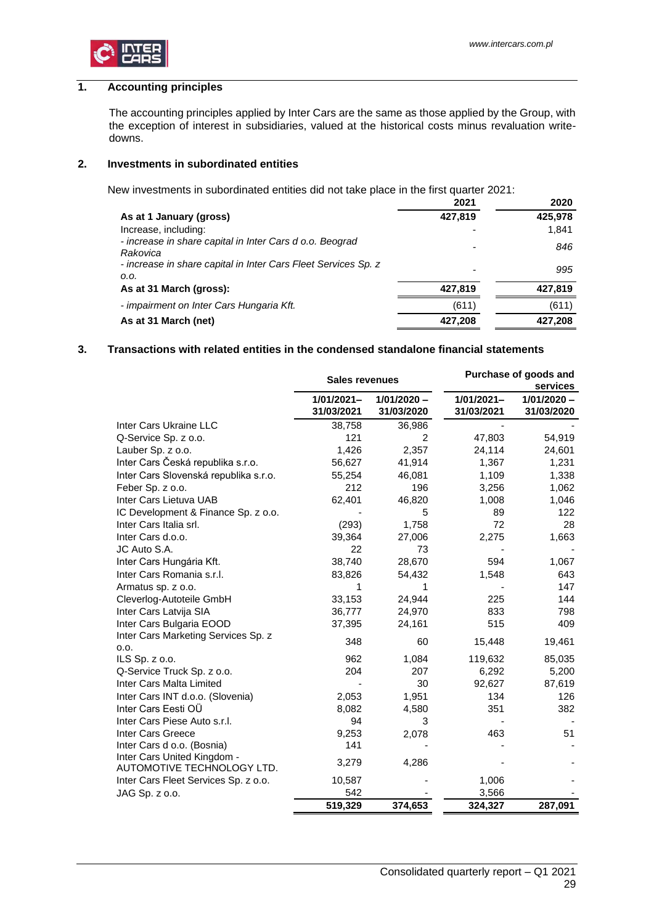

# <span id="page-28-0"></span>**1. Accounting principles**

The accounting principles applied by Inter Cars are the same as those applied by the Group, with the exception of interest in subsidiaries, valued at the historical costs minus revaluation writedowns.

## <span id="page-28-1"></span>**2. Investments in subordinated entities**

New investments in subordinated entities did not take place in the first quarter 2021:

|                                                                        | 2021    | 2020    |
|------------------------------------------------------------------------|---------|---------|
| As at 1 January (gross)                                                | 427,819 | 425,978 |
| Increase, including:                                                   |         | 1,841   |
| - increase in share capital in Inter Cars d o.o. Beograd<br>Rakovica   |         | 846     |
| - increase in share capital in Inter Cars Fleet Services Sp. z<br>0.0. | -       | 995     |
| As at 31 March (gross):                                                | 427,819 | 427,819 |
| - impairment on Inter Cars Hungaria Kft.                               | (611)   | (611)   |
| As at 31 March (net)                                                   | 427.208 | 427,208 |

# <span id="page-28-2"></span>**3. Transactions with related entities in the condensed standalone financial statements**

|                                                           | <b>Sales revenues</b>       |                             | Purchase of goods and<br>services |                             |  |
|-----------------------------------------------------------|-----------------------------|-----------------------------|-----------------------------------|-----------------------------|--|
|                                                           | $1/01/2021 -$<br>31/03/2021 | $1/01/2020 -$<br>31/03/2020 | 1/01/2021-<br>31/03/2021          | $1/01/2020 -$<br>31/03/2020 |  |
| Inter Cars Ukraine LLC                                    | 38,758                      | 36,986                      |                                   |                             |  |
| Q-Service Sp. z o.o.                                      | 121                         | 2                           | 47,803                            | 54,919                      |  |
| Lauber Sp. z o.o.                                         | 1,426                       | 2,357                       | 24,114                            | 24,601                      |  |
| Inter Cars Česká republika s.r.o.                         | 56,627                      | 41,914                      | 1,367                             | 1,231                       |  |
| Inter Cars Slovenská republika s.r.o.                     | 55,254                      | 46,081                      | 1,109                             | 1,338                       |  |
| Feber Sp. z o.o.                                          | 212                         | 196                         | 3,256                             | 1,062                       |  |
| Inter Cars Lietuva UAB                                    | 62,401                      | 46,820                      | 1,008                             | 1,046                       |  |
| IC Development & Finance Sp. z o.o.                       |                             | 5                           | 89                                | 122                         |  |
| Inter Cars Italia srl.                                    | (293)                       | 1,758                       | 72                                | 28                          |  |
| Inter Cars d.o.o.                                         | 39,364                      | 27,006                      | 2,275                             | 1,663                       |  |
| JC Auto S.A.                                              | 22                          | 73                          |                                   |                             |  |
| Inter Cars Hungária Kft.                                  | 38,740                      | 28,670                      | 594                               | 1,067                       |  |
| Inter Cars Romania s.r.l.                                 | 83,826                      | 54,432                      | 1,548                             | 643                         |  |
| Armatus sp. z o.o.                                        | 1                           | 1                           |                                   | 147                         |  |
| Cleverlog-Autoteile GmbH                                  | 33,153                      | 24,944                      | 225                               | 144                         |  |
| Inter Cars Latvija SIA                                    | 36,777                      | 24,970                      | 833                               | 798                         |  |
| Inter Cars Bulgaria EOOD                                  | 37,395                      | 24,161                      | 515                               | 409                         |  |
| Inter Cars Marketing Services Sp. z<br>0.0.               | 348                         | 60                          | 15,448                            | 19,461                      |  |
| ILS Sp. $z$ o.o.                                          | 962                         | 1,084                       | 119,632                           | 85,035                      |  |
| Q-Service Truck Sp. z o.o.                                | 204                         | 207                         | 6,292                             | 5,200                       |  |
| Inter Cars Malta Limited                                  |                             | 30                          | 92,627                            | 87,619                      |  |
| Inter Cars INT d.o.o. (Slovenia)                          | 2,053                       | 1,951                       | 134                               | 126                         |  |
| Inter Cars Eesti OÜ                                       | 8,082                       | 4,580                       | 351                               | 382                         |  |
| Inter Cars Piese Auto s.r.l.                              | 94                          | 3                           |                                   |                             |  |
| <b>Inter Cars Greece</b>                                  | 9,253                       | 2,078                       | 463                               | 51                          |  |
| Inter Cars d o.o. (Bosnia)                                | 141                         |                             |                                   |                             |  |
| Inter Cars United Kingdom -<br>AUTOMOTIVE TECHNOLOGY LTD. | 3,279                       | 4,286                       |                                   |                             |  |
| Inter Cars Fleet Services Sp. z o.o.                      | 10,587                      |                             | 1,006                             |                             |  |
| JAG Sp. z o.o.                                            | 542                         |                             | 3,566                             |                             |  |
|                                                           | 519,329                     | 374,653                     | 324,327                           | 287,091                     |  |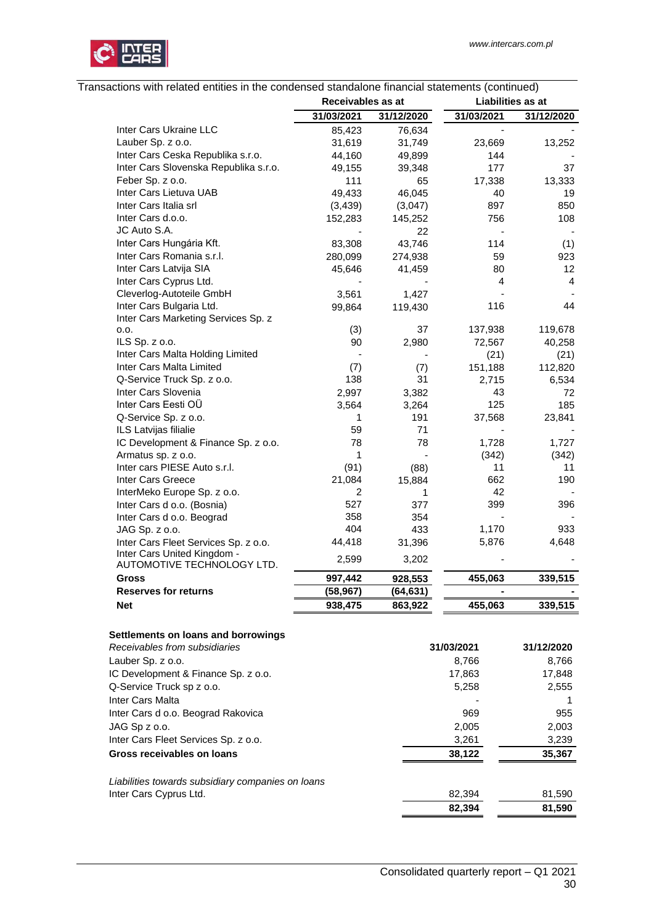

| Transactions with related entities in the condensed standalone financial statements (continued) |
|-------------------------------------------------------------------------------------------------|
|-------------------------------------------------------------------------------------------------|

|                                                           | Receivables as at |            | Liabilities as at |            |
|-----------------------------------------------------------|-------------------|------------|-------------------|------------|
|                                                           | 31/03/2021        | 31/12/2020 | 31/03/2021        | 31/12/2020 |
| Inter Cars Ukraine LLC                                    | 85,423            | 76,634     |                   |            |
| Lauber Sp. z o.o.                                         | 31,619            | 31,749     | 23,669            | 13,252     |
| Inter Cars Ceska Republika s.r.o.                         | 44,160            | 49,899     | 144               |            |
| Inter Cars Slovenska Republika s.r.o.                     | 49,155            | 39,348     | 177               | 37         |
| Feber Sp. z o.o.                                          | 111               | 65         | 17,338            | 13,333     |
| Inter Cars Lietuva UAB                                    | 49,433            | 46,045     | 40                | 19         |
| Inter Cars Italia srl                                     | (3, 439)          | (3,047)    | 897               | 850        |
| Inter Cars d.o.o.                                         | 152,283           | 145,252    | 756               | 108        |
| JC Auto S.A.                                              |                   | 22         |                   |            |
| Inter Cars Hungária Kft.                                  | 83,308            | 43,746     | 114               | (1)        |
| Inter Cars Romania s.r.l.                                 | 280,099           | 274,938    | 59                | 923        |
| Inter Cars Latvija SIA                                    | 45,646            | 41,459     | 80                | 12         |
| Inter Cars Cyprus Ltd.                                    |                   |            | 4                 | 4          |
| Cleverlog-Autoteile GmbH                                  | 3,561             | 1,427      |                   |            |
| Inter Cars Bulgaria Ltd.                                  | 99,864            | 119,430    | 116               | 44         |
| Inter Cars Marketing Services Sp. z                       |                   |            |                   |            |
| 0.0.                                                      | (3)               | 37         | 137,938           | 119,678    |
| ILS Sp. z o.o.                                            | 90                | 2,980      | 72,567            | 40,258     |
| Inter Cars Malta Holding Limited                          |                   |            | (21)              | (21)       |
| Inter Cars Malta Limited                                  | (7)               | (7)        | 151,188           | 112,820    |
| Q-Service Truck Sp. z o.o.                                | 138               | 31         | 2,715             | 6,534      |
| Inter Cars Slovenia                                       | 2,997             | 3,382      | 43                | 72         |
| Inter Cars Eesti OÜ                                       | 3,564             | 3,264      | 125               | 185        |
| Q-Service Sp. z o.o.                                      | 1                 | 191        | 37,568            | 23,841     |
| ILS Latvijas filialie                                     | 59                | 71         |                   |            |
| IC Development & Finance Sp. z o.o.                       | 78                | 78         | 1,728             | 1,727      |
| Armatus sp. z o.o.                                        | $\mathbf{1}$      |            | (342)             | (342)      |
| Inter cars PIESE Auto s.r.l.                              | (91)              |            | 11                | 11         |
| Inter Cars Greece                                         | 21,084            | (88)       | 662               | 190        |
|                                                           | 2                 | 15,884     | 42                |            |
| InterMeko Europe Sp. z o.o.                               | 527               | 1          | 399               |            |
| Inter Cars d o.o. (Bosnia)                                | 358               | 377        |                   | 396        |
| Inter Cars d o.o. Beograd                                 | 404               | 354        |                   | 933        |
| JAG Sp. z o.o.                                            |                   | 433        | 1,170             |            |
| Inter Cars Fleet Services Sp. z o.o.                      | 44,418            | 31,396     | 5,876             | 4,648      |
| Inter Cars United Kingdom -<br>AUTOMOTIVE TECHNOLOGY LTD. | 2,599             | 3,202      |                   |            |
| Gross                                                     | 997,442           | 928,553    | 455,063           | 339,515    |
| <b>Reserves for returns</b>                               | (58, 967)         | (64, 631)  |                   |            |
| <b>Net</b>                                                | 938,475           | 863,922    | 455,063           | 339,515    |
| Settlements on loans and borrowings                       |                   |            |                   |            |
| Receivables from subsidiaries                             |                   |            | 31/03/2021        | 31/12/2020 |
| Lauber Sp. z o.o.                                         |                   |            | 8,766             | 8,766      |
|                                                           |                   |            |                   |            |

| Lauber Sp. z o.o.                                 | 8,766  | 8,766  |
|---------------------------------------------------|--------|--------|
| IC Development & Finance Sp. z o.o.               | 17,863 | 17,848 |
| Q-Service Truck sp z o.o.                         | 5,258  | 2,555  |
| Inter Cars Malta                                  |        |        |
| Inter Cars d o.o. Beograd Rakovica                | 969    | 955    |
| JAG Sp z o.o.                                     | 2,005  | 2,003  |
| Inter Cars Fleet Services Sp. z o.o.              | 3,261  | 3,239  |
| Gross receivables on loans                        | 38,122 | 35,367 |
| Liabilities towards subsidiary companies on loans |        |        |
| Inter Cars Cyprus Ltd.                            | 82,394 | 81,590 |
|                                                   | 82,394 | 81,590 |